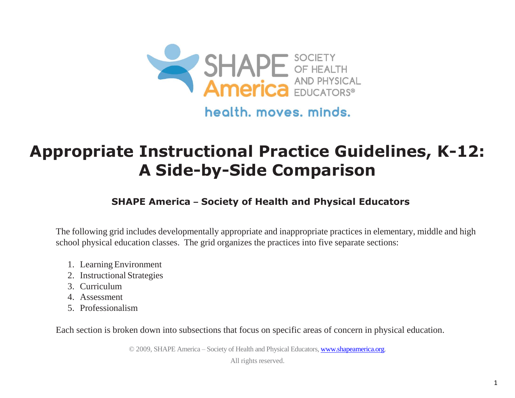

health, moves, minds.

# **Appropriate Instructional Practice Guidelines, K-12: A Side-by-Side Comparison**

# **SHAPE America – Society of Health and Physical Educators**

The following grid includes developmentally appropriate and inappropriate practices in elementary, middle and high school physical education classes. The grid organizes the practices into five separate sections:

- 1. Learning Environment
- 2. Instructional Strategies
- 3. Curriculum
- 4. Assessment
- 5. Professionalism

Each section is broken down into subsections that focus on specific areas of concern in physical education.

© 2009, SHAPE America – Society of Health and Physical Educators[, www.shapeamerica.org.](http://www.shapeamerica.org/)

All rights reserved.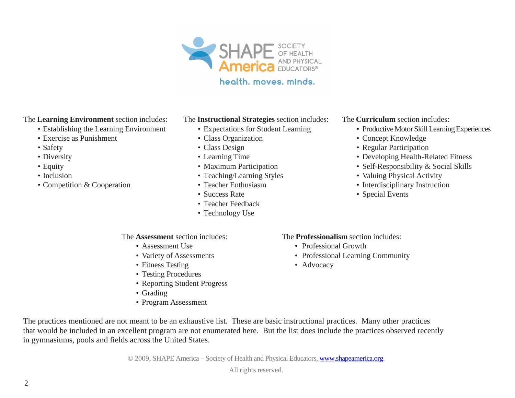

## health, moves, minds.

#### The **Learning Environment** section includes:

- Establishing the Learning Environment
- Exercise as Punishment
- Safety
- Diversity
- Equity
- Inclusion
- Competition & Cooperation

#### The **Instructional Strategies** section includes:

- Expectations for Student Learning
- Class Organization
- Class Design
- Learning Time
- Maximum Participation
- Teaching/Learning Styles
- Teacher Enthusiasm
- Success Rate
- Teacher Feedback
- Technology Use

### The **Curriculum** section includes:

- Productive Motor Skill Learning Experiences
- Concept Knowledge
- Regular Participation
- Developing Health-Related Fitness
- Self-Responsibility & Social Skills
- Valuing Physical Activity
- Interdisciplinary Instruction
- Special Events

#### The **Assessment** section includes:

- Assessment Use
- Variety of Assessments
- Fitness Testing
- Testing Procedures
- Reporting Student Progress
- Grading
- Program Assessment

#### The **Professionalism** section includes:

- Professional Growth
- Professional Learning Community
- Advocacy

The practices mentioned are not meant to be an exhaustive list. These are basic instructional practices. Many other practices that would be included in an excellent program are not enumerated here. But the list does include the practices observed recently in gymnasiums, pools and fields across the United States.

© 2009, SHAPE America – Society of Health and Physical Educators[, www.shapeamerica.org.](http://www.shapeamerica.org/)

All rights reserved.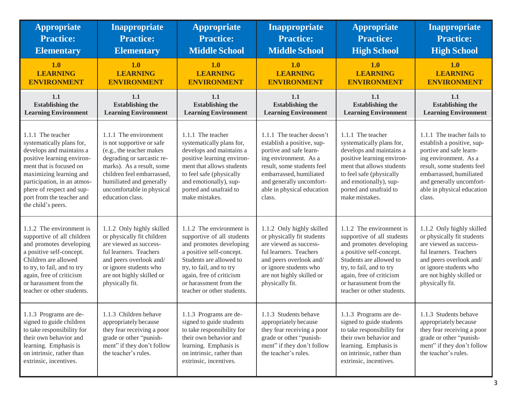| <b>Appropriate</b>                                                                                                                                                                                                                                                            | Inappropriate                                                                                                                                                                                                                                        | <b>Appropriate</b>                                                                                                                                                                                                                                       | Inappropriate                                                                                                                                                                                                                            | <b>Appropriate</b>                                                                                                                                                                                                                                       | <b>Inappropriate</b>                                                                                                                                                                                                                      |
|-------------------------------------------------------------------------------------------------------------------------------------------------------------------------------------------------------------------------------------------------------------------------------|------------------------------------------------------------------------------------------------------------------------------------------------------------------------------------------------------------------------------------------------------|----------------------------------------------------------------------------------------------------------------------------------------------------------------------------------------------------------------------------------------------------------|------------------------------------------------------------------------------------------------------------------------------------------------------------------------------------------------------------------------------------------|----------------------------------------------------------------------------------------------------------------------------------------------------------------------------------------------------------------------------------------------------------|-------------------------------------------------------------------------------------------------------------------------------------------------------------------------------------------------------------------------------------------|
| <b>Practice:</b>                                                                                                                                                                                                                                                              | <b>Practice:</b>                                                                                                                                                                                                                                     | <b>Practice:</b>                                                                                                                                                                                                                                         | <b>Practice:</b>                                                                                                                                                                                                                         | <b>Practice:</b>                                                                                                                                                                                                                                         | <b>Practice:</b>                                                                                                                                                                                                                          |
| <b>Elementary</b>                                                                                                                                                                                                                                                             | <b>Elementary</b>                                                                                                                                                                                                                                    | <b>Middle School</b>                                                                                                                                                                                                                                     | <b>Middle School</b>                                                                                                                                                                                                                     | <b>High School</b>                                                                                                                                                                                                                                       | <b>High School</b>                                                                                                                                                                                                                        |
| 1.0                                                                                                                                                                                                                                                                           | 1.0                                                                                                                                                                                                                                                  | 1.0                                                                                                                                                                                                                                                      | 1.0                                                                                                                                                                                                                                      | 1.0                                                                                                                                                                                                                                                      | 1.0                                                                                                                                                                                                                                       |
| <b>LEARNING</b>                                                                                                                                                                                                                                                               | <b>LEARNING</b>                                                                                                                                                                                                                                      | <b>LEARNING</b>                                                                                                                                                                                                                                          | <b>LEARNING</b>                                                                                                                                                                                                                          | <b>LEARNING</b>                                                                                                                                                                                                                                          | <b>LEARNING</b>                                                                                                                                                                                                                           |
| <b>ENVIRONMENT</b>                                                                                                                                                                                                                                                            | <b>ENVIRONMENT</b>                                                                                                                                                                                                                                   | <b>ENVIRONMENT</b>                                                                                                                                                                                                                                       | <b>ENVIRONMENT</b>                                                                                                                                                                                                                       | <b>ENVIRONMENT</b>                                                                                                                                                                                                                                       | <b>ENVIRONMENT</b>                                                                                                                                                                                                                        |
| 1.1                                                                                                                                                                                                                                                                           | 1.1                                                                                                                                                                                                                                                  | 1.1                                                                                                                                                                                                                                                      | 1.1                                                                                                                                                                                                                                      | 1.1                                                                                                                                                                                                                                                      | 1.1                                                                                                                                                                                                                                       |
| <b>Establishing the</b>                                                                                                                                                                                                                                                       | <b>Establishing the</b>                                                                                                                                                                                                                              | <b>Establishing the</b>                                                                                                                                                                                                                                  | <b>Establishing the</b>                                                                                                                                                                                                                  | <b>Establishing the</b>                                                                                                                                                                                                                                  | <b>Establishing the</b>                                                                                                                                                                                                                   |
| <b>Learning Environment</b>                                                                                                                                                                                                                                                   | <b>Learning Environment</b>                                                                                                                                                                                                                          | <b>Learning Environment</b>                                                                                                                                                                                                                              | <b>Learning Environment</b>                                                                                                                                                                                                              | <b>Learning Environment</b>                                                                                                                                                                                                                              | <b>Learning Environment</b>                                                                                                                                                                                                               |
| 1.1.1 The teacher<br>systematically plans for,<br>develops and maintains a<br>positive learning environ-<br>ment that is focused on<br>maximizing learning and<br>participation, in an atmos-<br>phere of respect and sup-<br>port from the teacher and<br>the child's peers. | 1.1.1 The environment<br>is not supportive or safe<br>(e.g., the teacher makes<br>degrading or sarcastic re-<br>marks). As a result, some<br>children feel embarrassed.<br>humiliated and generally<br>uncomfortable in physical<br>education class. | 1.1.1 The teacher<br>systematically plans for,<br>develops and maintains a<br>positive learning environ-<br>ment that allows students<br>to feel safe (physically<br>and emotionally), sup-<br>ported and unafraid to<br>make mistakes.                  | 1.1.1 The teacher doesn't<br>establish a positive, sup-<br>portive and safe learn-<br>ing environment. As a<br>result, some students feel<br>embarrassed, humiliated<br>and generally uncomfort-<br>able in physical education<br>class. | 1.1.1 The teacher<br>systematically plans for,<br>develops and maintains a<br>positive learning environ-<br>ment that allows students<br>to feel safe (physically<br>and emotionally), sup-<br>ported and unafraid to<br>make mistakes.                  | 1.1.1 The teacher fails to<br>establish a positive, sup-<br>portive and safe learn-<br>ing environment. As a<br>result, some students feel<br>embarrassed, humiliated<br>and generally uncomfort-<br>able in physical education<br>class. |
| 1.1.2 The environment is<br>supportive of all children<br>and promotes developing<br>a positive self-concept.<br>Children are allowed<br>to try, to fail, and to try<br>again, free of criticism<br>or harassment from the<br>teacher or other students.                      | 1.1.2 Only highly skilled<br>or physically fit children<br>are viewed as success-<br>ful learners. Teachers<br>and peers overlook and/<br>or ignore students who<br>are not highly skilled or<br>physically fit.                                     | 1.1.2 The environment is<br>supportive of all students<br>and promotes developing<br>a positive self-concept.<br>Students are allowed to<br>try, to fail, and to try<br>again, free of criticism<br>or harassment from the<br>teacher or other students. | 1.1.2 Only highly skilled<br>or physically fit students<br>are viewed as success-<br>ful learners. Teachers<br>and peers overlook and/<br>or ignore students who<br>are not highly skilled or<br>physically fit.                         | 1.1.2 The environment is<br>supportive of all students<br>and promotes developing<br>a positive self-concept.<br>Students are allowed to<br>try, to fail, and to try<br>again, free of criticism<br>or harassment from the<br>teacher or other students. | 1.1.2 Only highly skilled<br>or physically fit students<br>are viewed as success-<br>ful learners. Teachers<br>and peers overlook and/<br>or ignore students who<br>are not highly skilled or<br>physically fit.                          |
| 1.1.3 Programs are de-<br>signed to guide children<br>to take responsibility for<br>their own behavior and<br>learning. Emphasis is<br>on intrinsic, rather than<br>extrinsic, incentives.                                                                                    | 1.1.3 Children behave<br>appropriately because<br>they fear receiving a poor<br>grade or other "punish-<br>ment" if they don't follow<br>the teacher's rules.                                                                                        | 1.1.3 Programs are de-<br>signed to guide students<br>to take responsibility for<br>their own behavior and<br>learning. Emphasis is<br>on intrinsic, rather than<br>extrinsic, incentives.                                                               | 1.1.3 Students behave<br>appropriately because<br>they fear receiving a poor<br>grade or other "punish-<br>ment" if they don't follow<br>the teacher's rules.                                                                            | 1.1.3 Programs are de-<br>signed to guide students<br>to take responsibility for<br>their own behavior and<br>learning. Emphasis is<br>on intrinsic, rather than<br>extrinsic, incentives.                                                               | 1.1.3 Students behave<br>appropriately because<br>they fear receiving a poor<br>grade or other "punish-<br>ment" if they don't follow<br>the teacher's rules.                                                                             |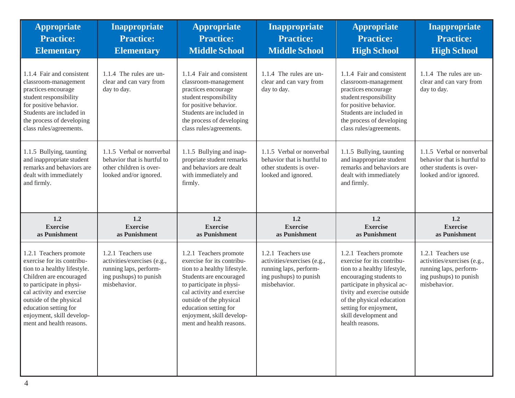| <b>Appropriate</b><br><b>Practice:</b><br><b>Elementary</b>                                                                                                                                                                                                                           | Inappropriate<br><b>Practice:</b><br><b>Elementary</b>                                                                | <b>Appropriate</b><br><b>Practice:</b><br><b>Middle School</b>                                                                                                                                                                                                                        | <b>Inappropriate</b><br><b>Practice:</b><br><b>Middle School</b>                                                      | <b>Appropriate</b><br><b>Practice:</b><br><b>High School</b>                                                                                                                                                                                                                     | <b>Inappropriate</b><br><b>Practice:</b><br><b>High School</b>                                                        |
|---------------------------------------------------------------------------------------------------------------------------------------------------------------------------------------------------------------------------------------------------------------------------------------|-----------------------------------------------------------------------------------------------------------------------|---------------------------------------------------------------------------------------------------------------------------------------------------------------------------------------------------------------------------------------------------------------------------------------|-----------------------------------------------------------------------------------------------------------------------|----------------------------------------------------------------------------------------------------------------------------------------------------------------------------------------------------------------------------------------------------------------------------------|-----------------------------------------------------------------------------------------------------------------------|
| 1.1.4 Fair and consistent<br>classroom-management<br>practices encourage<br>student responsibility<br>for positive behavior.<br>Students are included in<br>the process of developing<br>class rules/agreements.                                                                      | 1.1.4 The rules are un-<br>clear and can vary from<br>day to day.                                                     | 1.1.4 Fair and consistent<br>classroom-management<br>practices encourage<br>student responsibility<br>for positive behavior.<br>Students are included in<br>the process of developing<br>class rules/agreements.                                                                      | 1.1.4 The rules are un-<br>clear and can vary from<br>day to day.                                                     | 1.1.4 Fair and consistent<br>classroom-management<br>practices encourage<br>student responsibility<br>for positive behavior.<br>Students are included in<br>the process of developing<br>class rules/agreements.                                                                 | 1.1.4 The rules are un-<br>clear and can vary from<br>day to day.                                                     |
| 1.1.5 Bullying, taunting<br>and inappropriate student<br>remarks and behaviors are<br>dealt with immediately<br>and firmly.                                                                                                                                                           | 1.1.5 Verbal or nonverbal<br>behavior that is hurtful to<br>other children is over-<br>looked and/or ignored.         | 1.1.5 Bullying and inap-<br>propriate student remarks<br>and behaviors are dealt<br>with immediately and<br>firmly.                                                                                                                                                                   | 1.1.5 Verbal or nonverbal<br>behavior that is hurtful to<br>other students is over-<br>looked and ignored.            | 1.1.5 Bullying, taunting<br>and inappropriate student<br>remarks and behaviors are<br>dealt with immediately<br>and firmly.                                                                                                                                                      | 1.1.5 Verbal or nonverbal<br>behavior that is hurtful to<br>other students is over-<br>looked and/or ignored.         |
| 1.2<br><b>Exercise</b><br>as Punishment                                                                                                                                                                                                                                               | 1.2<br><b>Exercise</b><br>as Punishment                                                                               | 1.2<br><b>Exercise</b><br>as Punishment                                                                                                                                                                                                                                               | 1.2<br><b>Exercise</b><br>as Punishment                                                                               | 1.2<br><b>Exercise</b><br>as Punishment                                                                                                                                                                                                                                          | 1.2<br><b>Exercise</b><br>as Punishment                                                                               |
| 1.2.1 Teachers promote<br>exercise for its contribu-<br>tion to a healthy lifestyle.<br>Children are encouraged<br>to participate in physi-<br>cal activity and exercise<br>outside of the physical<br>education setting for<br>enjoyment, skill develop-<br>ment and health reasons. | 1.2.1 Teachers use<br>activities/exercises (e.g.,<br>running laps, perform-<br>ing pushups) to punish<br>misbehavior. | 1.2.1 Teachers promote<br>exercise for its contribu-<br>tion to a healthy lifestyle.<br>Students are encouraged<br>to participate in physi-<br>cal activity and exercise<br>outside of the physical<br>education setting for<br>enjoyment, skill develop-<br>ment and health reasons. | 1.2.1 Teachers use<br>activities/exercises (e.g.,<br>running laps, perform-<br>ing pushups) to punish<br>misbehavior. | 1.2.1 Teachers promote<br>exercise for its contribu-<br>tion to a healthy lifestyle,<br>encouraging students to<br>participate in physical ac-<br>tivity and exercise outside<br>of the physical education<br>setting for enjoyment,<br>skill development and<br>health reasons. | 1.2.1 Teachers use<br>activities/exercises (e.g.,<br>running laps, perform-<br>ing pushups) to punish<br>misbehavior. |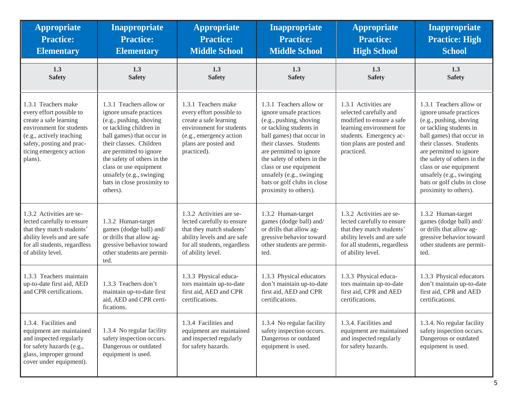| <b>Appropriate</b>                                                                                                                                                                                   | <b>Inappropriate</b>                                                                                                                                                                                                                                                                                                       | <b>Appropriate</b>                                                                                                                                                      | Inappropriate                                                                                                                                                                                                                                                                                                                            | <b>Appropriate</b>                                                                                                                                                            | Inappropriate                                                                                                                                                                                                                                                                                                                            |
|------------------------------------------------------------------------------------------------------------------------------------------------------------------------------------------------------|----------------------------------------------------------------------------------------------------------------------------------------------------------------------------------------------------------------------------------------------------------------------------------------------------------------------------|-------------------------------------------------------------------------------------------------------------------------------------------------------------------------|------------------------------------------------------------------------------------------------------------------------------------------------------------------------------------------------------------------------------------------------------------------------------------------------------------------------------------------|-------------------------------------------------------------------------------------------------------------------------------------------------------------------------------|------------------------------------------------------------------------------------------------------------------------------------------------------------------------------------------------------------------------------------------------------------------------------------------------------------------------------------------|
| <b>Practice:</b>                                                                                                                                                                                     | <b>Practice:</b>                                                                                                                                                                                                                                                                                                           | <b>Practice:</b>                                                                                                                                                        | <b>Practice:</b>                                                                                                                                                                                                                                                                                                                         | <b>Practice:</b>                                                                                                                                                              | <b>Practice: High</b>                                                                                                                                                                                                                                                                                                                    |
| <b>Elementary</b>                                                                                                                                                                                    | <b>Elementary</b>                                                                                                                                                                                                                                                                                                          | <b>Middle School</b>                                                                                                                                                    | <b>Middle School</b>                                                                                                                                                                                                                                                                                                                     | <b>High School</b>                                                                                                                                                            | <b>School</b>                                                                                                                                                                                                                                                                                                                            |
| 1.3                                                                                                                                                                                                  | 1.3                                                                                                                                                                                                                                                                                                                        | 1.3                                                                                                                                                                     | 1.3                                                                                                                                                                                                                                                                                                                                      | 1.3                                                                                                                                                                           | 1.3                                                                                                                                                                                                                                                                                                                                      |
| <b>Safety</b>                                                                                                                                                                                        | <b>Safety</b>                                                                                                                                                                                                                                                                                                              | <b>Safety</b>                                                                                                                                                           | <b>Safety</b>                                                                                                                                                                                                                                                                                                                            | <b>Safety</b>                                                                                                                                                                 | <b>Safety</b>                                                                                                                                                                                                                                                                                                                            |
| 1.3.1 Teachers make<br>every effort possible to<br>create a safe learning<br>environment for students<br>(e.g., actively teaching<br>safety, posting and prac-<br>ticing emergency action<br>plans). | 1.3.1 Teachers allow or<br>ignore unsafe practices<br>(e.g., pushing, shoving<br>or tackling children in<br>ball games) that occur in<br>their classes. Children<br>are permitted to ignore<br>the safety of others in the<br>class or use equipment<br>unsafely (e.g., swinging<br>bats in close proximity to<br>others). | 1.3.1 Teachers make<br>every effort possible to<br>create a safe learning<br>environment for students<br>(e.g., emergency action<br>plans are posted and<br>practiced). | 1.3.1 Teachers allow or<br>ignore unsafe practices<br>(e.g., pushing, shoving<br>or tackling students in<br>ball games) that occur in<br>their classes. Students<br>are permitted to ignore<br>the safety of others in the<br>class or use equipment<br>unsafely (e.g., swinging<br>bats or golf clubs in close<br>proximity to others). | 1.3.1 Activities are<br>selected carefully and<br>modified to ensure a safe<br>learning environment for<br>students. Emergency ac-<br>tion plans are posted and<br>practiced. | 1.3.1 Teachers allow or<br>ignore unsafe practices<br>(e.g., pushing, shoving<br>or tackling students in<br>ball games) that occur in<br>their classes. Students<br>are permitted to ignore<br>the safety of others in the<br>class or use equipment<br>unsafely (e.g., swinging<br>bats or golf clubs in close<br>proximity to others). |
| 1.3.2 Activities are se-                                                                                                                                                                             | 1.3.2 Human-target                                                                                                                                                                                                                                                                                                         | 1.3.2 Activities are se-                                                                                                                                                | 1.3.2 Human-target                                                                                                                                                                                                                                                                                                                       | 1.3.2 Activities are se-                                                                                                                                                      | 1.3.2 Human-target                                                                                                                                                                                                                                                                                                                       |
| lected carefully to ensure                                                                                                                                                                           | games (dodge ball) and/                                                                                                                                                                                                                                                                                                    | lected carefully to ensure                                                                                                                                              | games (dodge ball) and/                                                                                                                                                                                                                                                                                                                  | lected carefully to ensure                                                                                                                                                    | games (dodge ball) and/                                                                                                                                                                                                                                                                                                                  |
| that they match students'                                                                                                                                                                            | or drills that allow ag-                                                                                                                                                                                                                                                                                                   | that they match students'                                                                                                                                               | or drills that allow ag-                                                                                                                                                                                                                                                                                                                 | that they match students'                                                                                                                                                     | or drills that allow ag-                                                                                                                                                                                                                                                                                                                 |
| ability levels and are safe                                                                                                                                                                          | gressive behavior toward                                                                                                                                                                                                                                                                                                   | ability levels and are safe                                                                                                                                             | gressive behavior toward                                                                                                                                                                                                                                                                                                                 | ability levels and are safe                                                                                                                                                   | gressive behavior toward                                                                                                                                                                                                                                                                                                                 |
| for all students, regardless                                                                                                                                                                         | other students are permit-                                                                                                                                                                                                                                                                                                 | for all students, regardless                                                                                                                                            | other students are permit-                                                                                                                                                                                                                                                                                                               | for all students, regardless                                                                                                                                                  | other students are permit-                                                                                                                                                                                                                                                                                                               |
| of ability level.                                                                                                                                                                                    | ted.                                                                                                                                                                                                                                                                                                                       | of ability level.                                                                                                                                                       | ted.                                                                                                                                                                                                                                                                                                                                     | of ability level.                                                                                                                                                             | ted.                                                                                                                                                                                                                                                                                                                                     |
| 1.3.3 Teachers maintain<br>up-to-date first aid, AED<br>and CPR certifications.                                                                                                                      | 1.3.3 Teachers don't<br>maintain up-to-date first<br>aid, AED and CPR certi-<br>fications.                                                                                                                                                                                                                                 | 1.3.3 Physical educa-<br>tors maintain up-to-date<br>first aid, AED and CPR<br>certifications.                                                                          | 1.3.3 Physical educators<br>don't maintain up-to-date<br>first aid, AED and CPR<br>certifications.                                                                                                                                                                                                                                       | 1.3.3 Physical educa-<br>tors maintain up-to-date<br>first aid, CPR and AED<br>certifications.                                                                                | 1.3.3 Physical educators<br>don't maintain up-to-date<br>first aid, CPR and AED<br>certifications.                                                                                                                                                                                                                                       |
| 1.3.4. Facilities and<br>equipment are maintained<br>and inspected regularly<br>for safety hazards (e.g.,<br>glass, improper ground<br>cover under equipment).                                       | 1.3.4 No regular facility<br>safety inspection occurs.<br>Dangerous or outdated<br>equipment is used.                                                                                                                                                                                                                      | 1.3.4 Facilities and<br>equipment are maintained<br>and inspected regularly<br>for safety hazards.                                                                      | 1.3.4 No regular facility<br>safety inspection occurs.<br>Dangerous or outdated<br>equipment is used.                                                                                                                                                                                                                                    | 1.3.4. Facilities and<br>equipment are maintained<br>and inspected regularly<br>for safety hazards.                                                                           | 1.3.4. No regular facility<br>safety inspection occurs.<br>Dangerous or outdated<br>equipment is used.                                                                                                                                                                                                                                   |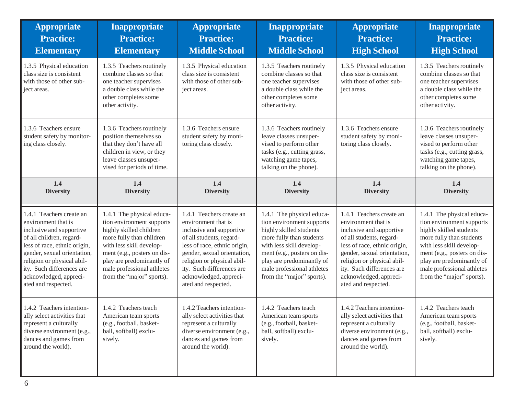| <b>Appropriate</b><br><b>Practice:</b><br><b>Elementary</b>                                                                                                                                                                                                                        | <b>Inappropriate</b><br><b>Practice:</b><br><b>Elementary</b>                                                                                                                                                                                                    | <b>Appropriate</b><br><b>Practice:</b><br><b>Middle School</b>                                                                                                                                                                                                                     | Inappropriate<br><b>Practice:</b><br><b>Middle School</b>                                                                                                                                                                                                        | <b>Appropriate</b><br><b>Practice:</b><br><b>High School</b>                                                                                                                                                                                                                       | <b>Inappropriate</b><br><b>Practice:</b><br><b>High School</b>                                                                                                                                                                                                   |
|------------------------------------------------------------------------------------------------------------------------------------------------------------------------------------------------------------------------------------------------------------------------------------|------------------------------------------------------------------------------------------------------------------------------------------------------------------------------------------------------------------------------------------------------------------|------------------------------------------------------------------------------------------------------------------------------------------------------------------------------------------------------------------------------------------------------------------------------------|------------------------------------------------------------------------------------------------------------------------------------------------------------------------------------------------------------------------------------------------------------------|------------------------------------------------------------------------------------------------------------------------------------------------------------------------------------------------------------------------------------------------------------------------------------|------------------------------------------------------------------------------------------------------------------------------------------------------------------------------------------------------------------------------------------------------------------|
| 1.3.5 Physical education<br>class size is consistent<br>with those of other sub-<br>ject areas.                                                                                                                                                                                    | 1.3.5 Teachers routinely<br>combine classes so that<br>one teacher supervises<br>a double class while the<br>other completes some<br>other activity.                                                                                                             | 1.3.5 Physical education<br>class size is consistent<br>with those of other sub-<br>ject areas.                                                                                                                                                                                    | 1.3.5 Teachers routinely<br>combine classes so that<br>one teacher supervises<br>a double class while the<br>other completes some<br>other activity.                                                                                                             | 1.3.5 Physical education<br>class size is consistent<br>with those of other sub-<br>ject areas.                                                                                                                                                                                    | 1.3.5 Teachers routinely<br>combine classes so that<br>one teacher supervises<br>a double class while the<br>other completes some<br>other activity.                                                                                                             |
| 1.3.6 Teachers ensure<br>student safety by monitor-<br>ing class closely.                                                                                                                                                                                                          | 1.3.6 Teachers routinely<br>position themselves so<br>that they don't have all<br>children in view, or they<br>leave classes unsuper-<br>vised for periods of time.                                                                                              | 1.3.6 Teachers ensure<br>student safety by moni-<br>toring class closely.                                                                                                                                                                                                          | 1.3.6 Teachers routinely<br>leave classes unsuper-<br>vised to perform other<br>tasks (e.g., cutting grass,<br>watching game tapes,<br>talking on the phone).                                                                                                    | 1.3.6 Teachers ensure<br>student safety by moni-<br>toring class closely.                                                                                                                                                                                                          | 1.3.6 Teachers routinely<br>leave classes unsuper-<br>vised to perform other<br>tasks (e.g., cutting grass,<br>watching game tapes,<br>talking on the phone).                                                                                                    |
| 1.4<br><b>Diversity</b>                                                                                                                                                                                                                                                            | 1.4<br><b>Diversity</b>                                                                                                                                                                                                                                          | 1.4<br><b>Diversity</b>                                                                                                                                                                                                                                                            | 1.4<br><b>Diversity</b>                                                                                                                                                                                                                                          | 1.4<br><b>Diversity</b>                                                                                                                                                                                                                                                            | 1.4<br><b>Diversity</b>                                                                                                                                                                                                                                          |
| 1.4.1 Teachers create an<br>environment that is<br>inclusive and supportive<br>of all children, regard-<br>less of race, ethnic origin,<br>gender, sexual orientation,<br>religion or physical abil-<br>ity. Such differences are<br>acknowledged, appreci-<br>ated and respected. | 1.4.1 The physical educa-<br>tion environment supports<br>highly skilled children<br>more fully than children<br>with less skill develop-<br>ment (e.g., posters on dis-<br>play are predominantly of<br>male professional athletes<br>from the "major" sports). | 1.4.1 Teachers create an<br>environment that is<br>inclusive and supportive<br>of all students, regard-<br>less of race, ethnic origin,<br>gender, sexual orientation,<br>religion or physical abil-<br>ity. Such differences are<br>acknowledged, appreci-<br>ated and respected. | 1.4.1 The physical educa-<br>tion environment supports<br>highly skilled students<br>more fully than students<br>with less skill develop-<br>ment (e.g., posters on dis-<br>play are predominantly of<br>male professional athletes<br>from the "major" sports). | 1.4.1 Teachers create an<br>environment that is<br>inclusive and supportive<br>of all students, regard-<br>less of race, ethnic origin,<br>gender, sexual orientation,<br>religion or physical abil-<br>ity. Such differences are<br>acknowledged, appreci-<br>ated and respected. | 1.4.1 The physical educa-<br>tion environment supports<br>highly skilled students<br>more fully than students<br>with less skill develop-<br>ment (e.g., posters on dis-<br>play are predominantly of<br>male professional athletes<br>from the "major" sports). |
| 1.4.2 Teachers intention-<br>ally select activities that<br>represent a culturally<br>diverse environment (e.g.,<br>dances and games from<br>around the world).                                                                                                                    | 1.4.2 Teachers teach<br>American team sports<br>(e.g., football, basket-<br>ball, softball) exclu-<br>sively.                                                                                                                                                    | 1.4.2 Teachers intention-<br>ally select activities that<br>represent a culturally<br>diverse environment (e.g.,<br>dances and games from<br>around the world).                                                                                                                    | 1.4.2 Teachers teach<br>American team sports<br>(e.g., football, basket-<br>ball, softball) exclu-<br>sively.                                                                                                                                                    | 1.4.2 Teachers intention-<br>ally select activities that<br>represent a culturally<br>diverse environment (e.g.,<br>dances and games from<br>around the world).                                                                                                                    | 1.4.2 Teachers teach<br>American team sports<br>(e.g., football, basket-<br>ball, softball) exclu-<br>sively.                                                                                                                                                    |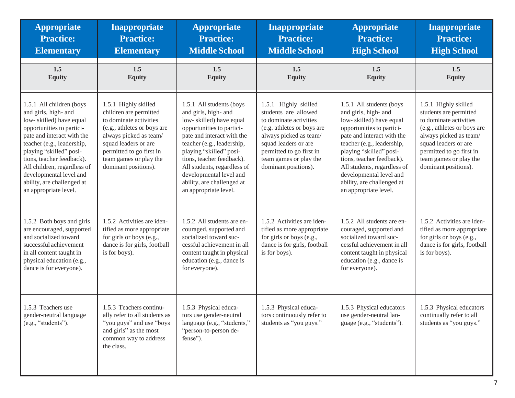| <b>Appropriate</b><br><b>Practice:</b><br><b>Elementary</b>                                                                                                                                                                                                                                                                                   | <b>Inappropriate</b><br><b>Practice:</b><br><b>Elementary</b>                                                                                                                                                                           | <b>Appropriate</b><br><b>Practice:</b><br><b>Middle School</b>                                                                                                                                                                                                                                                                                | Inappropriate<br><b>Practice:</b><br><b>Middle School</b>                                                                                                                                                                            | <b>Appropriate</b><br><b>Practice:</b><br><b>High School</b>                                                                                                                                                                                                                                                                                  | Inappropriate<br><b>Practice:</b><br><b>High School</b>                                                                                                                                                                                 |
|-----------------------------------------------------------------------------------------------------------------------------------------------------------------------------------------------------------------------------------------------------------------------------------------------------------------------------------------------|-----------------------------------------------------------------------------------------------------------------------------------------------------------------------------------------------------------------------------------------|-----------------------------------------------------------------------------------------------------------------------------------------------------------------------------------------------------------------------------------------------------------------------------------------------------------------------------------------------|--------------------------------------------------------------------------------------------------------------------------------------------------------------------------------------------------------------------------------------|-----------------------------------------------------------------------------------------------------------------------------------------------------------------------------------------------------------------------------------------------------------------------------------------------------------------------------------------------|-----------------------------------------------------------------------------------------------------------------------------------------------------------------------------------------------------------------------------------------|
| 1.5<br><b>Equity</b>                                                                                                                                                                                                                                                                                                                          | 1.5<br><b>Equity</b>                                                                                                                                                                                                                    | 1.5<br><b>Equity</b>                                                                                                                                                                                                                                                                                                                          | 1.5<br><b>Equity</b>                                                                                                                                                                                                                 | 1.5<br><b>Equity</b>                                                                                                                                                                                                                                                                                                                          | 1.5<br><b>Equity</b>                                                                                                                                                                                                                    |
| 1.5.1 All children (boys<br>and girls, high- and<br>low-skilled) have equal<br>opportunities to partici-<br>pate and interact with the<br>teacher (e.g., leadership,<br>playing "skilled" posi-<br>tions, teacher feedback).<br>All children, regardless of<br>developmental level and<br>ability, are challenged at<br>an appropriate level. | 1.5.1 Highly skilled<br>children are permitted<br>to dominate activities<br>(e.g., athletes or boys are<br>always picked as team/<br>squad leaders or are<br>permitted to go first in<br>team games or play the<br>dominant positions). | 1.5.1 All students (boys<br>and girls, high- and<br>low-skilled) have equal<br>opportunities to partici-<br>pate and interact with the<br>teacher (e.g., leadership,<br>playing "skilled" posi-<br>tions, teacher feedback).<br>All students, regardless of<br>developmental level and<br>ability, are challenged at<br>an appropriate level. | 1.5.1 Highly skilled<br>students are allowed<br>to dominate activities<br>(e.g. athletes or boys are<br>always picked as team/<br>squad leaders or are<br>permitted to go first in<br>team games or play the<br>dominant positions). | 1.5.1 All students (boys<br>and girls, high- and<br>low-skilled) have equal<br>opportunities to partici-<br>pate and interact with the<br>teacher (e.g., leadership,<br>playing "skilled" posi-<br>tions, teacher feedback).<br>All students, regardless of<br>developmental level and<br>ability, are challenged at<br>an appropriate level. | 1.5.1 Highly skilled<br>students are permitted<br>to dominate activities<br>(e.g., athletes or boys are<br>always picked as team/<br>squad leaders or are<br>permitted to go first in<br>team games or play the<br>dominant positions). |
| 1.5.2 Both boys and girls<br>are encouraged, supported<br>and socialized toward<br>successful achievement<br>in all content taught in<br>physical education (e.g.,<br>dance is for everyone).                                                                                                                                                 | 1.5.2 Activities are iden-<br>tified as more appropriate<br>for girls or boys (e.g.,<br>dance is for girls, football<br>is for boys).                                                                                                   | 1.5.2 All students are en-<br>couraged, supported and<br>socialized toward suc-<br>cessful achievement in all<br>content taught in physical<br>education (e.g., dance is<br>for everyone).                                                                                                                                                    | 1.5.2 Activities are iden-<br>tified as more appropriate<br>for girls or boys (e.g.,<br>dance is for girls, football<br>is for boys).                                                                                                | 1.5.2 All students are en-<br>couraged, supported and<br>socialized toward suc-<br>cessful achievement in all<br>content taught in physical<br>education (e.g., dance is<br>for everyone).                                                                                                                                                    | 1.5.2 Activities are iden-<br>tified as more appropriate<br>for girls or boys (e.g.,<br>dance is for girls, football<br>is for boys).                                                                                                   |
| 1.5.3 Teachers use<br>gender-neutral language<br>(e.g., "students").                                                                                                                                                                                                                                                                          | 1.5.3 Teachers continu-<br>ally refer to all students as<br>"you guys" and use "boys"<br>and girls" as the most<br>common way to address<br>the class.                                                                                  | 1.5.3 Physical educa-<br>tors use gender-neutral<br>language (e.g., "students,"<br>"person-to-person de-<br>fense").                                                                                                                                                                                                                          | 1.5.3 Physical educa-<br>tors continuously refer to<br>students as "you guys."                                                                                                                                                       | 1.5.3 Physical educators<br>use gender-neutral lan-<br>guage (e.g., "students").                                                                                                                                                                                                                                                              | 1.5.3 Physical educators<br>continually refer to all<br>students as "you guys."                                                                                                                                                         |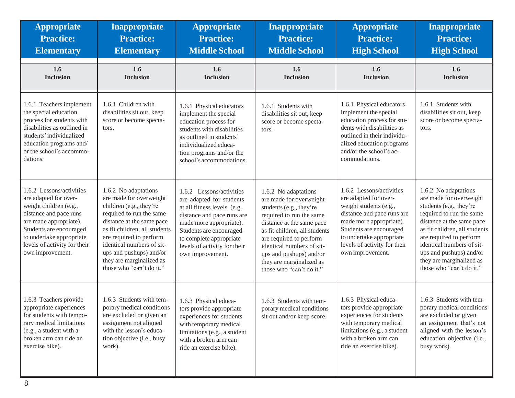| <b>Appropriate</b><br><b>Practice:</b><br><b>Elementary</b>                                                                                                                                                                                | <b>Inappropriate</b><br><b>Practice:</b><br><b>Elementary</b>                                                                                                                                                                                                                                                   | <b>Appropriate</b><br><b>Practice:</b><br><b>Middle School</b>                                                                                                                                                                                          | Inappropriate<br><b>Practice:</b><br><b>Middle School</b>                                                                                                                                                                                                                                                       | <b>Appropriate</b><br><b>Practice:</b><br><b>High School</b>                                                                                                                                                                                    | <b>Inappropriate</b><br><b>Practice:</b><br><b>High School</b>                                                                                                                                                                                                                                                  |
|--------------------------------------------------------------------------------------------------------------------------------------------------------------------------------------------------------------------------------------------|-----------------------------------------------------------------------------------------------------------------------------------------------------------------------------------------------------------------------------------------------------------------------------------------------------------------|---------------------------------------------------------------------------------------------------------------------------------------------------------------------------------------------------------------------------------------------------------|-----------------------------------------------------------------------------------------------------------------------------------------------------------------------------------------------------------------------------------------------------------------------------------------------------------------|-------------------------------------------------------------------------------------------------------------------------------------------------------------------------------------------------------------------------------------------------|-----------------------------------------------------------------------------------------------------------------------------------------------------------------------------------------------------------------------------------------------------------------------------------------------------------------|
| 1.6<br><b>Inclusion</b>                                                                                                                                                                                                                    | 1.6<br><b>Inclusion</b>                                                                                                                                                                                                                                                                                         | 1.6<br><b>Inclusion</b>                                                                                                                                                                                                                                 | 1.6<br><b>Inclusion</b>                                                                                                                                                                                                                                                                                         | 1.6<br><b>Inclusion</b>                                                                                                                                                                                                                         | 1.6<br><b>Inclusion</b>                                                                                                                                                                                                                                                                                         |
| 1.6.1 Teachers implement<br>the special education<br>process for students with<br>disabilities as outlined in<br>students'individualized<br>education programs and/<br>or the school's accommo-<br>dations.                                | 1.6.1 Children with<br>disabilities sit out, keep<br>score or become specta-<br>tors.                                                                                                                                                                                                                           | 1.6.1 Physical educators<br>implement the special<br>education process for<br>students with disabilities<br>as outlined in students'<br>individualized educa-<br>tion programs and/or the<br>school's accommodations.                                   | 1.6.1 Students with<br>disabilities sit out, keep<br>score or become specta-<br>tors.                                                                                                                                                                                                                           | 1.6.1 Physical educators<br>implement the special<br>education process for stu-<br>dents with disabilities as<br>outlined in their individu-<br>alized education programs<br>and/or the school's ac-<br>commodations.                           | 1.6.1 Students with<br>disabilities sit out, keep<br>score or become specta-<br>tors.                                                                                                                                                                                                                           |
| 1.6.2 Lessons/activities<br>are adapted for over-<br>weight children (e.g.,<br>distance and pace runs<br>are made appropriate).<br>Students are encouraged<br>to undertake appropriate<br>levels of activity for their<br>own improvement. | 1.6.2 No adaptations<br>are made for overweight<br>children (e.g., they're<br>required to run the same<br>distance at the same pace<br>as fit children, all students<br>are required to perform<br>identical numbers of sit-<br>ups and pushups) and/or<br>they are marginalized as<br>those who "can't do it." | 1.6.2 Lessons/activities<br>are adapted for students<br>at all fitness levels (e.g.,<br>distance and pace runs are<br>made more appropriate).<br>Students are encouraged<br>to complete appropriate<br>levels of activity for their<br>own improvement. | 1.6.2 No adaptations<br>are made for overweight<br>students (e.g., they're<br>required to run the same<br>distance at the same pace<br>as fit children, all students<br>are required to perform<br>identical numbers of sit-<br>ups and pushups) and/or<br>they are marginalized as<br>those who "can't do it." | 1.6.2 Lessons/activities<br>are adapted for over-<br>weight students (e.g.,<br>distance and pace runs are<br>made more appropriate).<br>Students are encouraged<br>to undertake appropriate<br>levels of activity for their<br>own improvement. | 1.6.2 No adaptations<br>are made for overweight<br>students (e.g., they're<br>required to run the same<br>distance at the same pace<br>as fit children, all students<br>are required to perform<br>identical numbers of sit-<br>ups and pushups) and/or<br>they are marginalized as<br>those who "can't do it." |
| 1.6.3 Teachers provide<br>appropriate experiences<br>for students with tempo-<br>rary medical limitations<br>(e.g., a student with a<br>broken arm can ride an<br>exercise bike).                                                          | 1.6.3 Students with tem-<br>porary medical conditions<br>are excluded or given an<br>assignment not aligned<br>with the lesson's educa-<br>tion objective (i.e., busy<br>work).                                                                                                                                 | 1.6.3 Physical educa-<br>tors provide appropriate<br>experiences for students<br>with temporary medical<br>limitations (e.g., a student<br>with a broken arm can<br>ride an exercise bike).                                                             | 1.6.3 Students with tem-<br>porary medical conditions<br>sit out and/or keep score.                                                                                                                                                                                                                             | 1.6.3 Physical educa-<br>tors provide appropriate<br>experiences for students<br>with temporary medical<br>limitations (e.g., a student<br>with a broken arm can<br>ride an exercise bike).                                                     | 1.6.3 Students with tem-<br>porary medical conditions<br>are excluded or given<br>an assignment that's not<br>aligned with the lesson's<br>education objective (i.e.,<br>busy work).                                                                                                                            |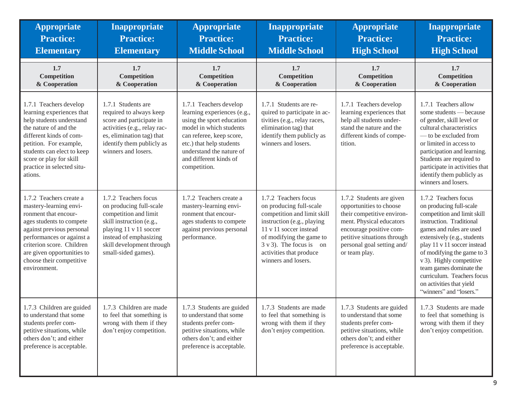| <b>Appropriate</b><br><b>Practice:</b><br><b>Elementary</b>                                                                                                                                                                                                            | <b>Inappropriate</b><br><b>Practice:</b><br><b>Elementary</b>                                                                                                                                                | <b>Appropriate</b><br><b>Practice:</b><br><b>Middle School</b>                                                                                                                                                                              | <b>Inappropriate</b><br><b>Practice:</b><br><b>Middle School</b>                                                                                                                                                                                            | <b>Appropriate</b><br><b>Practice:</b><br><b>High School</b>                                                                                                                                                           | <b>Inappropriate</b><br><b>Practice:</b><br><b>High School</b>                                                                                                                                                                                                                                                                                                                 |
|------------------------------------------------------------------------------------------------------------------------------------------------------------------------------------------------------------------------------------------------------------------------|--------------------------------------------------------------------------------------------------------------------------------------------------------------------------------------------------------------|---------------------------------------------------------------------------------------------------------------------------------------------------------------------------------------------------------------------------------------------|-------------------------------------------------------------------------------------------------------------------------------------------------------------------------------------------------------------------------------------------------------------|------------------------------------------------------------------------------------------------------------------------------------------------------------------------------------------------------------------------|--------------------------------------------------------------------------------------------------------------------------------------------------------------------------------------------------------------------------------------------------------------------------------------------------------------------------------------------------------------------------------|
| 1.7<br>Competition<br>& Cooperation                                                                                                                                                                                                                                    | 1.7<br><b>Competition</b><br>& Cooperation                                                                                                                                                                   | 1.7<br><b>Competition</b><br>& Cooperation                                                                                                                                                                                                  | 1.7<br>Competition<br>& Cooperation                                                                                                                                                                                                                         | 1.7<br>Competition<br>& Cooperation                                                                                                                                                                                    | 1.7<br><b>Competition</b><br>& Cooperation                                                                                                                                                                                                                                                                                                                                     |
| 1.7.1 Teachers develop<br>learning experiences that<br>help students understand<br>the nature of and the<br>different kinds of com-<br>petition. For example,<br>students can elect to keep<br>score or play for skill<br>practice in selected situ-<br>ations.        | 1.7.1 Students are<br>required to always keep<br>score and participate in<br>activities (e.g., relay rac-<br>es, elimination tag) that<br>identify them publicly as<br>winners and losers.                   | 1.7.1 Teachers develop<br>learning experiences (e.g.,<br>using the sport education<br>model in which students<br>can referee, keep score,<br>etc.) that help students<br>understand the nature of<br>and different kinds of<br>competition. | 1.7.1 Students are re-<br>quired to participate in ac-<br>tivities (e.g., relay races,<br>elimination tag) that<br>identify them publicly as<br>winners and losers.                                                                                         | 1.7.1 Teachers develop<br>learning experiences that<br>help all students under-<br>stand the nature and the<br>different kinds of compe-<br>tition.                                                                    | 1.7.1 Teachers allow<br>some students — because<br>of gender, skill level or<br>cultural characteristics<br>- to be excluded from<br>or limited in access to<br>participation and learning.<br>Students are required to<br>participate in activities that<br>identify them publicly as<br>winners and losers.                                                                  |
| 1.7.2 Teachers create a<br>mastery-learning envi-<br>ronment that encour-<br>ages students to compete<br>against previous personal<br>performances or against a<br>criterion score. Children<br>are given opportunities to<br>choose their competitive<br>environment. | 1.7.2 Teachers focus<br>on producing full-scale<br>competition and limit<br>skill instruction (e.g.,<br>playing 11 v 11 soccer<br>instead of emphasizing<br>skill development through<br>small-sided games). | 1.7.2 Teachers create a<br>mastery-learning envi-<br>ronment that encour-<br>ages students to compete<br>against previous personal<br>performance.                                                                                          | 1.7.2 Teachers focus<br>on producing full-scale<br>competition and limit skill<br>instruction (e.g., playing<br>11 v 11 soccer instead<br>of modifying the game to<br>$3 \text{ v } 3$ ). The focus is on<br>activities that produce<br>winners and losers. | 1.7.2 Students are given<br>opportunities to choose<br>their competitive environ-<br>ment. Physical educators<br>encourage positive com-<br>petitive situations through<br>personal goal setting and/<br>or team play. | 1.7.2 Teachers focus<br>on producing full-scale<br>competition and limit skill<br>instruction. Traditional<br>games and rules are used<br>extensively (e.g., students<br>play 11 v 11 soccer instead<br>of modifying the game to 3<br>v 3). Highly competitive<br>team games dominate the<br>curriculum. Teachers focus<br>on activities that yield<br>"winners" and "losers." |
| 1.7.3 Children are guided<br>to understand that some<br>students prefer com-<br>petitive situations, while<br>others don't; and either<br>preference is acceptable.                                                                                                    | 1.7.3 Children are made<br>to feel that something is<br>wrong with them if they<br>don't enjoy competition.                                                                                                  | 1.7.3 Students are guided<br>to understand that some<br>students prefer com-<br>petitive situations, while<br>others don't; and either<br>preference is acceptable.                                                                         | 1.7.3 Students are made<br>to feel that something is<br>wrong with them if they<br>don't enjoy competition.                                                                                                                                                 | 1.7.3 Students are guided<br>to understand that some<br>students prefer com-<br>petitive situations, while<br>others don't; and either<br>preference is acceptable.                                                    | 1.7.3 Students are made<br>to feel that something is<br>wrong with them if they<br>don't enjoy competition.                                                                                                                                                                                                                                                                    |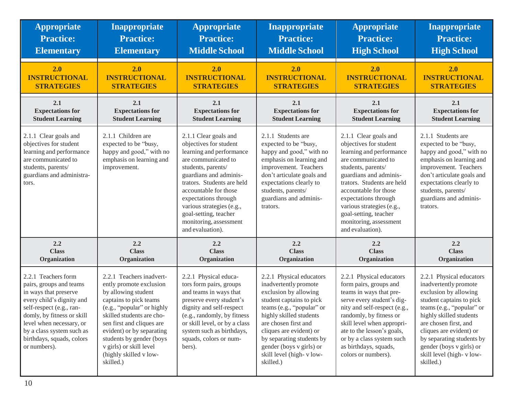| <b>Appropriate</b>                                                                                                                                                                                                                                                   | <b>Inappropriate</b>                                                                                                                                                                                                                                                                                                    | <b>Appropriate</b>                                                                                                                                                                                                                                                                                                                    | <b>Inappropriate</b>                                                                                                                                                                                                                                                                                               | <b>Appropriate</b>                                                                                                                                                                                                                                                                                                                    | Inappropriate                                                                                                                                                                                                                                                                                                       |
|----------------------------------------------------------------------------------------------------------------------------------------------------------------------------------------------------------------------------------------------------------------------|-------------------------------------------------------------------------------------------------------------------------------------------------------------------------------------------------------------------------------------------------------------------------------------------------------------------------|---------------------------------------------------------------------------------------------------------------------------------------------------------------------------------------------------------------------------------------------------------------------------------------------------------------------------------------|--------------------------------------------------------------------------------------------------------------------------------------------------------------------------------------------------------------------------------------------------------------------------------------------------------------------|---------------------------------------------------------------------------------------------------------------------------------------------------------------------------------------------------------------------------------------------------------------------------------------------------------------------------------------|---------------------------------------------------------------------------------------------------------------------------------------------------------------------------------------------------------------------------------------------------------------------------------------------------------------------|
| <b>Practice:</b>                                                                                                                                                                                                                                                     | <b>Practice:</b>                                                                                                                                                                                                                                                                                                        | <b>Practice:</b>                                                                                                                                                                                                                                                                                                                      | <b>Practice:</b>                                                                                                                                                                                                                                                                                                   | <b>Practice:</b>                                                                                                                                                                                                                                                                                                                      | <b>Practice:</b>                                                                                                                                                                                                                                                                                                    |
| <b>Elementary</b>                                                                                                                                                                                                                                                    | <b>Elementary</b>                                                                                                                                                                                                                                                                                                       | <b>Middle School</b>                                                                                                                                                                                                                                                                                                                  | <b>Middle School</b>                                                                                                                                                                                                                                                                                               | <b>High School</b>                                                                                                                                                                                                                                                                                                                    | <b>High School</b>                                                                                                                                                                                                                                                                                                  |
| 2.0                                                                                                                                                                                                                                                                  | 2.0                                                                                                                                                                                                                                                                                                                     | 2.0                                                                                                                                                                                                                                                                                                                                   | 2.0                                                                                                                                                                                                                                                                                                                | 2.0                                                                                                                                                                                                                                                                                                                                   | 2.0                                                                                                                                                                                                                                                                                                                 |
| <b>INSTRUCTIONAL</b>                                                                                                                                                                                                                                                 | <b>INSTRUCTIONAL</b>                                                                                                                                                                                                                                                                                                    | <b>INSTRUCTIONAL</b>                                                                                                                                                                                                                                                                                                                  | <b>INSTRUCTIONAL</b>                                                                                                                                                                                                                                                                                               | <b>INSTRUCTIONAL</b>                                                                                                                                                                                                                                                                                                                  | <b>INSTRUCTIONAL</b>                                                                                                                                                                                                                                                                                                |
| <b>STRATEGIES</b>                                                                                                                                                                                                                                                    | <b>STRATEGIES</b>                                                                                                                                                                                                                                                                                                       | <b>STRATEGIES</b>                                                                                                                                                                                                                                                                                                                     | <b>STRATEGIES</b>                                                                                                                                                                                                                                                                                                  | <b>STRATEGIES</b>                                                                                                                                                                                                                                                                                                                     | <b>STRATEGIES</b>                                                                                                                                                                                                                                                                                                   |
| 2.1                                                                                                                                                                                                                                                                  | 2.1                                                                                                                                                                                                                                                                                                                     | 2.1                                                                                                                                                                                                                                                                                                                                   | 2.1                                                                                                                                                                                                                                                                                                                | 2.1                                                                                                                                                                                                                                                                                                                                   | 2.1                                                                                                                                                                                                                                                                                                                 |
| <b>Expectations for</b>                                                                                                                                                                                                                                              | <b>Expectations for</b>                                                                                                                                                                                                                                                                                                 | <b>Expectations for</b>                                                                                                                                                                                                                                                                                                               | <b>Expectations for</b>                                                                                                                                                                                                                                                                                            | <b>Expectations for</b>                                                                                                                                                                                                                                                                                                               | <b>Expectations for</b>                                                                                                                                                                                                                                                                                             |
| <b>Student Learning</b>                                                                                                                                                                                                                                              | <b>Student Learning</b>                                                                                                                                                                                                                                                                                                 | <b>Student Learning</b>                                                                                                                                                                                                                                                                                                               | <b>Student Learning</b>                                                                                                                                                                                                                                                                                            | <b>Student Learning</b>                                                                                                                                                                                                                                                                                                               | <b>Student Learning</b>                                                                                                                                                                                                                                                                                             |
| 2.1.1 Clear goals and<br>objectives for student<br>learning and performance<br>are communicated to<br>students, parents/<br>guardians and administra-<br>tors.                                                                                                       | 2.1.1 Children are<br>expected to be "busy,<br>happy and good," with no<br>emphasis on learning and<br>improvement.                                                                                                                                                                                                     | 2.1.1 Clear goals and<br>objectives for student<br>learning and performance<br>are communicated to<br>students, parents/<br>guardians and adminis-<br>trators. Students are held<br>accountable for those<br>expectations through<br>various strategies (e.g.,<br>goal-setting, teacher<br>monitoring, assessment<br>and evaluation). | 2.1.1 Students are<br>expected to be "busy,<br>happy and good," with no<br>emphasis on learning and<br>improvement. Teachers<br>don't articulate goals and<br>expectations clearly to<br>students, parents/<br>guardians and adminis-<br>trators.                                                                  | 2.1.1 Clear goals and<br>objectives for student<br>learning and performance<br>are communicated to<br>students, parents/<br>guardians and adminis-<br>trators. Students are held<br>accountable for those<br>expectations through<br>various strategies (e.g.,<br>goal-setting, teacher<br>monitoring, assessment<br>and evaluation). | 2.1.1 Students are<br>expected to be "busy,<br>happy and good," with no<br>emphasis on learning and<br>improvement. Teachers<br>don't articulate goals and<br>expectations clearly to<br>students, parents/<br>guardians and adminis-<br>trators.                                                                   |
| 2.2                                                                                                                                                                                                                                                                  | 2.2                                                                                                                                                                                                                                                                                                                     | 2.2                                                                                                                                                                                                                                                                                                                                   | 2.2                                                                                                                                                                                                                                                                                                                | 2.2                                                                                                                                                                                                                                                                                                                                   | 2.2                                                                                                                                                                                                                                                                                                                 |
| <b>Class</b>                                                                                                                                                                                                                                                         | <b>Class</b>                                                                                                                                                                                                                                                                                                            | <b>Class</b>                                                                                                                                                                                                                                                                                                                          | <b>Class</b>                                                                                                                                                                                                                                                                                                       | <b>Class</b>                                                                                                                                                                                                                                                                                                                          | <b>Class</b>                                                                                                                                                                                                                                                                                                        |
| Organization                                                                                                                                                                                                                                                         | Organization                                                                                                                                                                                                                                                                                                            | Organization                                                                                                                                                                                                                                                                                                                          | Organization                                                                                                                                                                                                                                                                                                       | Organization                                                                                                                                                                                                                                                                                                                          | Organization                                                                                                                                                                                                                                                                                                        |
| 2.2.1 Teachers form<br>pairs, groups and teams<br>in ways that preserve<br>every child's dignity and<br>self-respect (e.g., ran-<br>domly, by fitness or skill<br>level when necessary, or<br>by a class system such as<br>birthdays, squads, colors<br>or numbers). | 2.2.1 Teachers inadvert-<br>ently promote exclusion<br>by allowing student<br>captains to pick teams<br>(e.g., "popular" or highly<br>skilled students are cho-<br>sen first and cliques are<br>evident) or by separating<br>students by gender (boys<br>v girls) or skill level<br>(highly skilled v low-<br>skilled.) | 2.2.1 Physical educa-<br>tors form pairs, groups<br>and teams in ways that<br>preserve every student's<br>dignity and self-respect<br>(e.g., randomly, by fitness<br>or skill level, or by a class<br>system such as birthdays,<br>squads, colors or num-<br>bers).                                                                   | 2.2.1 Physical educators<br>inadvertently promote<br>exclusion by allowing<br>student captains to pick<br>teams (e.g., "popular" or<br>highly skilled students<br>are chosen first and<br>cliques are evident) or<br>by separating students by<br>gender (boys v girls) or<br>skill level (high-vlow-<br>skilled.) | 2.2.1 Physical educators<br>form pairs, groups and<br>teams in ways that pre-<br>serve every student's dig-<br>nity and self-respect (e.g.,<br>randomly, by fitness or<br>skill level when appropri-<br>ate to the lesson's goals,<br>or by a class system such<br>as birthdays, squads,<br>colors or numbers).                       | 2.2.1 Physical educators<br>inadvertently promote<br>exclusion by allowing<br>student captains to pick<br>teams (e.g., "popular" or<br>highly skilled students<br>are chosen first, and<br>cliques are evident) or<br>by separating students by<br>gender (boys v girls) or<br>skill level (high-vlow-<br>skilled.) |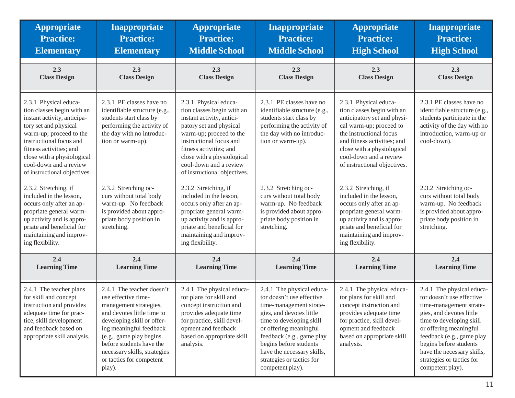| <b>Appropriate</b>                                                                                                                                                                                                                                                                   | <b>Inappropriate</b>                                                                                                                                                                                                                                                                           | <b>Appropriate</b>                                                                                                                                                                                                                                                                   | <b>Inappropriate</b>                                                                                                                                                                                                                                                                                      | <b>Appropriate</b>                                                                                                                                                                                                                                              | Inappropriate                                                                                                                                                                                                                                                                                             |
|--------------------------------------------------------------------------------------------------------------------------------------------------------------------------------------------------------------------------------------------------------------------------------------|------------------------------------------------------------------------------------------------------------------------------------------------------------------------------------------------------------------------------------------------------------------------------------------------|--------------------------------------------------------------------------------------------------------------------------------------------------------------------------------------------------------------------------------------------------------------------------------------|-----------------------------------------------------------------------------------------------------------------------------------------------------------------------------------------------------------------------------------------------------------------------------------------------------------|-----------------------------------------------------------------------------------------------------------------------------------------------------------------------------------------------------------------------------------------------------------------|-----------------------------------------------------------------------------------------------------------------------------------------------------------------------------------------------------------------------------------------------------------------------------------------------------------|
| <b>Practice:</b>                                                                                                                                                                                                                                                                     | <b>Practice:</b>                                                                                                                                                                                                                                                                               | <b>Practice:</b>                                                                                                                                                                                                                                                                     | <b>Practice:</b>                                                                                                                                                                                                                                                                                          | <b>Practice:</b>                                                                                                                                                                                                                                                | <b>Practice:</b>                                                                                                                                                                                                                                                                                          |
| <b>Elementary</b>                                                                                                                                                                                                                                                                    | <b>Elementary</b>                                                                                                                                                                                                                                                                              | <b>Middle School</b>                                                                                                                                                                                                                                                                 | <b>Middle School</b>                                                                                                                                                                                                                                                                                      | <b>High School</b>                                                                                                                                                                                                                                              | <b>High School</b>                                                                                                                                                                                                                                                                                        |
| 2.3                                                                                                                                                                                                                                                                                  | 2.3                                                                                                                                                                                                                                                                                            | 2.3                                                                                                                                                                                                                                                                                  | 2.3                                                                                                                                                                                                                                                                                                       | 2.3                                                                                                                                                                                                                                                             | 2.3                                                                                                                                                                                                                                                                                                       |
| <b>Class Design</b>                                                                                                                                                                                                                                                                  | <b>Class Design</b>                                                                                                                                                                                                                                                                            | <b>Class Design</b>                                                                                                                                                                                                                                                                  | <b>Class Design</b>                                                                                                                                                                                                                                                                                       | <b>Class Design</b>                                                                                                                                                                                                                                             | <b>Class Design</b>                                                                                                                                                                                                                                                                                       |
| 2.3.1 Physical educa-<br>tion classes begin with an<br>instant activity, anticipa-<br>tory set and physical<br>warm-up; proceed to the<br>instructional focus and<br>fitness activities; and<br>close with a physiological<br>cool-down and a review<br>of instructional objectives. | 2.3.1 PE classes have no<br>identifiable structure (e.g.,<br>students start class by<br>performing the activity of<br>the day with no introduc-<br>tion or warm-up).                                                                                                                           | 2.3.1 Physical educa-<br>tion classes begin with an<br>instant activity, antici-<br>patory set and physical<br>warm-up; proceed to the<br>instructional focus and<br>fitness activities; and<br>close with a physiological<br>cool-down and a review<br>of instructional objectives. | 2.3.1 PE classes have no<br>identifiable structure (e.g.,<br>students start class by<br>performing the activity of<br>the day with no introduc-<br>tion or warm-up).                                                                                                                                      | 2.3.1 Physical educa-<br>tion classes begin with an<br>anticipatory set and physi-<br>cal warm-up; proceed to<br>the instructional focus<br>and fitness activities; and<br>close with a physiological<br>cool-down and a review<br>of instructional objectives. | 2.3.1 PE classes have no<br>identifiable structure (e.g.,<br>students participate in the<br>activity of the day with no<br>introduction, warm-up or<br>cool-down).                                                                                                                                        |
| 2.3.2 Stretching, if<br>included in the lesson,<br>occurs only after an ap-<br>propriate general warm-<br>up activity and is appro-<br>priate and beneficial for<br>maintaining and improv-<br>ing flexibility.                                                                      | 2.3.2 Stretching oc-<br>curs without total body<br>warm-up. No feedback<br>is provided about appro-<br>priate body position in<br>stretching.                                                                                                                                                  | 2.3.2 Stretching, if<br>included in the lesson,<br>occurs only after an ap-<br>propriate general warm-<br>up activity and is appro-<br>priate and beneficial for<br>maintaining and improv-<br>ing flexibility.                                                                      | 2.3.2 Stretching oc-<br>curs without total body<br>warm-up. No feedback<br>is provided about appro-<br>priate body position in<br>stretching.                                                                                                                                                             | 2.3.2 Stretching, if<br>included in the lesson,<br>occurs only after an ap-<br>propriate general warm-<br>up activity and is appro-<br>priate and beneficial for<br>maintaining and improv-<br>ing flexibility.                                                 | 2.3.2 Stretching oc-<br>curs without total body<br>warm-up. No feedback<br>is provided about appro-<br>priate body position in<br>stretching.                                                                                                                                                             |
| 2.4                                                                                                                                                                                                                                                                                  | 2.4                                                                                                                                                                                                                                                                                            | 2.4                                                                                                                                                                                                                                                                                  | 2.4                                                                                                                                                                                                                                                                                                       | 2.4                                                                                                                                                                                                                                                             | 2.4                                                                                                                                                                                                                                                                                                       |
| <b>Learning Time</b>                                                                                                                                                                                                                                                                 | <b>Learning Time</b>                                                                                                                                                                                                                                                                           | <b>Learning Time</b>                                                                                                                                                                                                                                                                 | <b>Learning Time</b>                                                                                                                                                                                                                                                                                      | <b>Learning Time</b>                                                                                                                                                                                                                                            | <b>Learning Time</b>                                                                                                                                                                                                                                                                                      |
| 2.4.1 The teacher plans<br>for skill and concept<br>instruction and provides<br>adequate time for prac-<br>tice, skill development<br>and feedback based on<br>appropriate skill analysis.                                                                                           | 2.4.1 The teacher doesn't<br>use effective time-<br>management strategies,<br>and devotes little time to<br>developing skill or offer-<br>ing meaningful feedback<br>(e.g., game play begins<br>before students have the<br>necessary skills, strategies<br>or tactics for competent<br>play). | 2.4.1 The physical educa-<br>tor plans for skill and<br>concept instruction and<br>provides adequate time<br>for practice, skill devel-<br>opment and feedback<br>based on appropriate skill<br>analysis.                                                                            | 2.4.1 The physical educa-<br>tor doesn't use effective<br>time-management strate-<br>gies, and devotes little<br>time to developing skill<br>or offering meaningful<br>feedback (e.g., game play<br>begins before students<br>have the necessary skills,<br>strategies or tactics for<br>competent play). | 2.4.1 The physical educa-<br>tor plans for skill and<br>concept instruction and<br>provides adequate time<br>for practice, skill devel-<br>opment and feedback<br>based on appropriate skill<br>analysis.                                                       | 2.4.1 The physical educa-<br>tor doesn't use effective<br>time-management strate-<br>gies, and devotes little<br>time to developing skill<br>or offering meaningful<br>feedback (e.g., game play<br>begins before students<br>have the necessary skills,<br>strategies or tactics for<br>competent play). |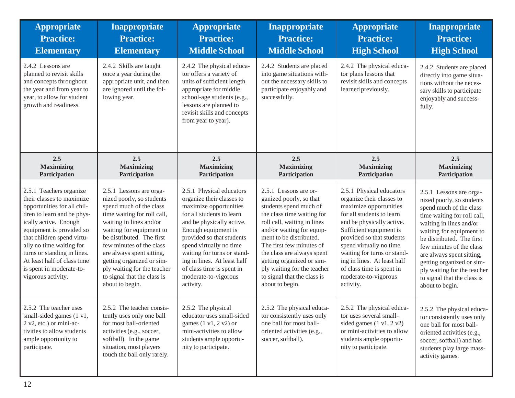| <b>Appropriate</b><br><b>Practice:</b><br><b>Elementary</b>                                                                                                                                                                                                                                                                                      | <b>Inappropriate</b><br><b>Practice:</b><br><b>Elementary</b>                                                                                                                                                                                                                                                                                                             | <b>Appropriate</b><br><b>Practice:</b><br><b>Middle School</b>                                                                                                                                                                                                                                                                                           | Inappropriate<br><b>Practice:</b><br><b>Middle School</b>                                                                                                                                                                                                                                                                                                               | <b>Appropriate</b><br><b>Practice:</b><br><b>High School</b>                                                                                                                                                                                                                                                                                                 | Inappropriate<br><b>Practice:</b><br><b>High School</b>                                                                                                                                                                                                                                                                                                                   |
|--------------------------------------------------------------------------------------------------------------------------------------------------------------------------------------------------------------------------------------------------------------------------------------------------------------------------------------------------|---------------------------------------------------------------------------------------------------------------------------------------------------------------------------------------------------------------------------------------------------------------------------------------------------------------------------------------------------------------------------|----------------------------------------------------------------------------------------------------------------------------------------------------------------------------------------------------------------------------------------------------------------------------------------------------------------------------------------------------------|-------------------------------------------------------------------------------------------------------------------------------------------------------------------------------------------------------------------------------------------------------------------------------------------------------------------------------------------------------------------------|--------------------------------------------------------------------------------------------------------------------------------------------------------------------------------------------------------------------------------------------------------------------------------------------------------------------------------------------------------------|---------------------------------------------------------------------------------------------------------------------------------------------------------------------------------------------------------------------------------------------------------------------------------------------------------------------------------------------------------------------------|
| 2.4.2 Lessons are<br>planned to revisit skills<br>and concepts throughout<br>the year and from year to<br>year, to allow for student<br>growth and readiness.                                                                                                                                                                                    | 2.4.2 Skills are taught<br>once a year during the<br>appropriate unit, and then<br>are ignored until the fol-<br>lowing year.                                                                                                                                                                                                                                             | 2.4.2 The physical educa-<br>tor offers a variety of<br>units of sufficient length<br>appropriate for middle<br>school-age students (e.g.,<br>lessons are planned to<br>revisit skills and concepts<br>from year to year).                                                                                                                               | 2.4.2 Students are placed<br>into game situations with-<br>out the necessary skills to<br>participate enjoyably and<br>successfully.                                                                                                                                                                                                                                    | 2.4.2 The physical educa-<br>tor plans lessons that<br>revisit skills and concepts<br>learned previously.                                                                                                                                                                                                                                                    | 2.4.2 Students are placed<br>directly into game situa-<br>tions without the neces-<br>sary skills to participate<br>enjoyably and success-<br>fully.                                                                                                                                                                                                                      |
| 2.5<br><b>Maximizing</b><br>Participation                                                                                                                                                                                                                                                                                                        | 2.5<br><b>Maximizing</b><br>Participation                                                                                                                                                                                                                                                                                                                                 | 2.5<br><b>Maximizing</b><br>Participation                                                                                                                                                                                                                                                                                                                | 2.5<br><b>Maximizing</b><br>Participation                                                                                                                                                                                                                                                                                                                               | 2.5<br><b>Maximizing</b><br>Participation                                                                                                                                                                                                                                                                                                                    | 2.5<br><b>Maximizing</b><br>Participation                                                                                                                                                                                                                                                                                                                                 |
| 2.5.1 Teachers organize<br>their classes to maximize<br>opportunities for all chil-<br>dren to learn and be phys-<br>ically active. Enough<br>equipment is provided so<br>that children spend virtu-<br>ally no time waiting for<br>turns or standing in lines.<br>At least half of class time<br>is spent in moderate-to-<br>vigorous activity. | 2.5.1 Lessons are orga-<br>nized poorly, so students<br>spend much of the class<br>time waiting for roll call,<br>waiting in lines and/or<br>waiting for equipment to<br>be distributed. The first<br>few minutes of the class<br>are always spent sitting,<br>getting organized or sim-<br>ply waiting for the teacher<br>to signal that the class is<br>about to begin. | 2.5.1 Physical educators<br>organize their classes to<br>maximize opportunities<br>for all students to learn<br>and be physically active.<br>Enough equipment is<br>provided so that students<br>spend virtually no time<br>waiting for turns or stand-<br>ing in lines. At least half<br>of class time is spent in<br>moderate-to-vigorous<br>activity. | 2.5.1 Lessons are or-<br>ganized poorly, so that<br>students spend much of<br>the class time waiting for<br>roll call, waiting in lines<br>and/or waiting for equip-<br>ment to be distributed.<br>The first few minutes of<br>the class are always spent<br>getting organized or sim-<br>ply waiting for the teacher<br>to signal that the class is<br>about to begin. | 2.5.1 Physical educators<br>organize their classes to<br>maximize opportunities<br>for all students to learn<br>and be physically active.<br>Sufficient equipment is<br>provided so that students<br>spend virtually no time<br>waiting for turns or stand-<br>ing in lines. At least half<br>of class time is spent in<br>moderate-to-vigorous<br>activity. | 2.5.1 Lessons are orga-<br>nized poorly, so students<br>spend much of the class<br>time waiting for roll call,<br>waiting in lines and/or<br>waiting for equipment to<br>be distributed. The first<br>few minutes of the class<br>are always spent sitting,<br>getting organized or sim-<br>ply waiting for the teacher<br>to signal that the class is<br>about to begin. |
| 2.5.2 The teacher uses<br>small-sided games (1 v1,<br>$2 v2$ , etc.) or mini-ac-<br>tivities to allow students<br>ample opportunity to<br>participate.                                                                                                                                                                                           | 2.5.2 The teacher consis-<br>tently uses only one ball<br>for most ball-oriented<br>activities (e.g., soccer,<br>softball). In the game<br>situation, most players<br>touch the ball only rarely.                                                                                                                                                                         | 2.5.2 The physical<br>educator uses small-sided<br>games $(1 \text{ v1}, 2 \text{ v2})$ or<br>mini-activities to allow<br>students ample opportu-<br>nity to participate.                                                                                                                                                                                | 2.5.2 The physical educa-<br>tor consistently uses only<br>one ball for most ball-<br>oriented activities (e.g.,<br>soccer, softball).                                                                                                                                                                                                                                  | 2.5.2 The physical educa-<br>tor uses several small-<br>sided games $(1 \text{ v1}, 2 \text{ v2})$<br>or mini-activities to allow<br>students ample opportu-<br>nity to participate.                                                                                                                                                                         | 2.5.2 The physical educa-<br>tor consistently uses only<br>one ball for most ball-<br>oriented activities (e.g.,<br>soccer, softball) and has<br>students play large mass-<br>activity games.                                                                                                                                                                             |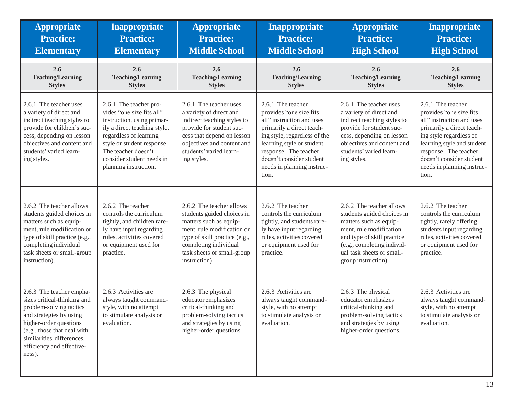| <b>Appropriate</b><br><b>Practice:</b><br><b>Elementary</b>                                                                                                                                                                                 | <b>Inappropriate</b><br><b>Practice:</b><br><b>Elementary</b>                                                                                                                                                                                          | <b>Appropriate</b><br><b>Practice:</b><br><b>Middle School</b>                                                                                                                                                          | <b>Inappropriate</b><br><b>Practice:</b><br><b>Middle School</b>                                                                                                                                                                                                | <b>Appropriate</b><br><b>Practice:</b><br><b>High School</b>                                                                                                                                                                | <b>Inappropriate</b><br><b>Practice:</b><br><b>High School</b>                                                                                                                                                                                              |
|---------------------------------------------------------------------------------------------------------------------------------------------------------------------------------------------------------------------------------------------|--------------------------------------------------------------------------------------------------------------------------------------------------------------------------------------------------------------------------------------------------------|-------------------------------------------------------------------------------------------------------------------------------------------------------------------------------------------------------------------------|-----------------------------------------------------------------------------------------------------------------------------------------------------------------------------------------------------------------------------------------------------------------|-----------------------------------------------------------------------------------------------------------------------------------------------------------------------------------------------------------------------------|-------------------------------------------------------------------------------------------------------------------------------------------------------------------------------------------------------------------------------------------------------------|
| 2.6<br><b>Teaching/Learning</b><br><b>Styles</b>                                                                                                                                                                                            | 2.6<br><b>Teaching/Learning</b><br><b>Styles</b>                                                                                                                                                                                                       | 2.6<br><b>Teaching/Learning</b><br><b>Styles</b>                                                                                                                                                                        | 2.6<br><b>Teaching/Learning</b><br><b>Styles</b>                                                                                                                                                                                                                | 2.6<br><b>Teaching/Learning</b><br><b>Styles</b>                                                                                                                                                                            | 2.6<br><b>Teaching/Learning</b><br><b>Styles</b>                                                                                                                                                                                                            |
| 2.6.1 The teacher uses<br>a variety of direct and<br>indirect teaching styles to<br>provide for children's suc-<br>cess, depending on lesson<br>objectives and content and<br>students' varied learn-<br>ing styles.                        | 2.6.1 The teacher pro-<br>vides "one size fits all"<br>instruction, using primar-<br>ily a direct teaching style,<br>regardless of learning<br>style or student response.<br>The teacher doesn't<br>consider student needs in<br>planning instruction. | 2.6.1 The teacher uses<br>a variety of direct and<br>indirect teaching styles to<br>provide for student suc-<br>cess that depend on lesson<br>objectives and content and<br>students' varied learn-<br>ing styles.      | 2.6.1 The teacher<br>provides "one size fits<br>all" instruction and uses<br>primarily a direct teach-<br>ing style, regardless of the<br>learning style or student<br>response. The teacher<br>doesn't consider student<br>needs in planning instruc-<br>tion. | 2.6.1 The teacher uses<br>a variety of direct and<br>indirect teaching styles to<br>provide for student suc-<br>cess, depending on lesson<br>objectives and content and<br>students' varied learn-<br>ing styles.           | 2.6.1 The teacher<br>provides "one size fits<br>all" instruction and uses<br>primarily a direct teach-<br>ing style regardless of<br>learning style and student<br>response. The teacher<br>doesn't consider student<br>needs in planning instruc-<br>tion. |
| 2.6.2 The teacher allows<br>students guided choices in<br>matters such as equip-<br>ment, rule modification or<br>type of skill practice (e.g.,<br>completing individual<br>task sheets or small-group<br>instruction).                     | 2.6.2 The teacher<br>controls the curriculum<br>tightly, and children rare-<br>ly have input regarding<br>rules, activities covered<br>or equipment used for<br>practice.                                                                              | 2.6.2 The teacher allows<br>students guided choices in<br>matters such as equip-<br>ment, rule modification or<br>type of skill practice (e.g.,<br>completing individual<br>task sheets or small-group<br>instruction). | 2.6.2 The teacher<br>controls the curriculum<br>tightly, and students rare-<br>ly have input regarding<br>rules, activities covered<br>or equipment used for<br>practice.                                                                                       | 2.6.2 The teacher allows<br>students guided choices in<br>matters such as equip-<br>ment, rule modification<br>and type of skill practice<br>(e.g., completing individ-<br>ual task sheets or small-<br>group instruction). | 2.6.2 The teacher<br>controls the curriculum<br>tightly, rarely offering<br>students input regarding<br>rules, activities covered<br>or equipment used for<br>practice.                                                                                     |
| 2.6.3 The teacher empha-<br>sizes critical-thinking and<br>problem-solving tactics<br>and strategies by using<br>higher-order questions<br>(e.g., those that deal with<br>similarities, differences,<br>efficiency and effective-<br>ness). | 2.6.3 Activities are<br>always taught command-<br>style, with no attempt<br>to stimulate analysis or<br>evaluation.                                                                                                                                    | 2.6.3 The physical<br>educator emphasizes<br>critical-thinking and<br>problem-solving tactics<br>and strategies by using<br>higher-order questions.                                                                     | 2.6.3 Activities are<br>always taught command-<br>style, with no attempt<br>to stimulate analysis or<br>evaluation.                                                                                                                                             | 2.6.3 The physical<br>educator emphasizes<br>critical-thinking and<br>problem-solving tactics<br>and strategies by using<br>higher-order questions.                                                                         | 2.6.3 Activities are<br>always taught command-<br>style, with no attempt<br>to stimulate analysis or<br>evaluation.                                                                                                                                         |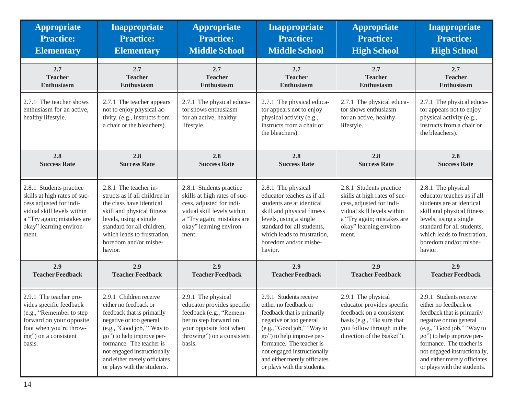| <b>Appropriate</b>                                                                                                                                                                 | <b>Inappropriate</b>                                                                                                                                                                                                                                                                          | <b>Appropriate</b>                                                                                                                                                                  | <b>Inappropriate</b>                                                                                                                                                                                                                                                                          | <b>Appropriate</b>                                                                                                                                                                  | <b>Inappropriate</b>                                                                                                                                                                                                                                                                           |
|------------------------------------------------------------------------------------------------------------------------------------------------------------------------------------|-----------------------------------------------------------------------------------------------------------------------------------------------------------------------------------------------------------------------------------------------------------------------------------------------|-------------------------------------------------------------------------------------------------------------------------------------------------------------------------------------|-----------------------------------------------------------------------------------------------------------------------------------------------------------------------------------------------------------------------------------------------------------------------------------------------|-------------------------------------------------------------------------------------------------------------------------------------------------------------------------------------|------------------------------------------------------------------------------------------------------------------------------------------------------------------------------------------------------------------------------------------------------------------------------------------------|
| <b>Practice:</b>                                                                                                                                                                   | <b>Practice:</b>                                                                                                                                                                                                                                                                              | <b>Practice:</b>                                                                                                                                                                    | <b>Practice:</b>                                                                                                                                                                                                                                                                              | <b>Practice:</b>                                                                                                                                                                    | <b>Practice:</b>                                                                                                                                                                                                                                                                               |
| <b>Elementary</b>                                                                                                                                                                  | <b>Elementary</b>                                                                                                                                                                                                                                                                             | <b>Middle School</b>                                                                                                                                                                | <b>Middle School</b>                                                                                                                                                                                                                                                                          | <b>High School</b>                                                                                                                                                                  | <b>High School</b>                                                                                                                                                                                                                                                                             |
| 2.7                                                                                                                                                                                | 2.7                                                                                                                                                                                                                                                                                           | 2.7                                                                                                                                                                                 | 2.7                                                                                                                                                                                                                                                                                           | 2.7                                                                                                                                                                                 | 2.7                                                                                                                                                                                                                                                                                            |
| <b>Teacher</b>                                                                                                                                                                     | <b>Teacher</b>                                                                                                                                                                                                                                                                                | <b>Teacher</b>                                                                                                                                                                      | <b>Teacher</b>                                                                                                                                                                                                                                                                                | <b>Teacher</b>                                                                                                                                                                      | <b>Teacher</b>                                                                                                                                                                                                                                                                                 |
| <b>Enthusiasm</b>                                                                                                                                                                  | Enthusiasm                                                                                                                                                                                                                                                                                    | <b>Enthusiasm</b>                                                                                                                                                                   | Enthusiasm                                                                                                                                                                                                                                                                                    | Enthusiasm                                                                                                                                                                          | Enthusiasm                                                                                                                                                                                                                                                                                     |
| 2.7.1 The teacher shows<br>enthusiasm for an active,<br>healthy lifestyle.                                                                                                         | 2.7.1 The teacher appears<br>not to enjoy physical ac-<br>tivity. (e.g., instructs from<br>a chair or the bleachers).                                                                                                                                                                         | 2.7.1 The physical educa-<br>tor shows enthusiasm<br>for an active, healthy<br>lifestyle.                                                                                           | 2.7.1 The physical educa-<br>tor appears not to enjoy<br>physical activity (e.g.,<br>instructs from a chair or<br>the bleachers).                                                                                                                                                             | 2.7.1 The physical educa-<br>tor shows enthusiasm<br>for an active, healthy<br>lifestyle.                                                                                           | 2.7.1 The physical educa-<br>tor appears not to enjoy<br>physical activity (e.g.,<br>instructs from a chair or<br>the bleachers).                                                                                                                                                              |
| 2.8                                                                                                                                                                                | 2.8                                                                                                                                                                                                                                                                                           | 2.8                                                                                                                                                                                 | 2.8                                                                                                                                                                                                                                                                                           | 2.8                                                                                                                                                                                 | 2.8                                                                                                                                                                                                                                                                                            |
| <b>Success Rate</b>                                                                                                                                                                | <b>Success Rate</b>                                                                                                                                                                                                                                                                           | <b>Success Rate</b>                                                                                                                                                                 | <b>Success Rate</b>                                                                                                                                                                                                                                                                           | <b>Success Rate</b>                                                                                                                                                                 | <b>Success Rate</b>                                                                                                                                                                                                                                                                            |
| 2.8.1 Students practice<br>skills at high rates of suc-<br>cess adjusted for indi-<br>vidual skill levels within<br>a "Try again; mistakes are<br>okay" learning environ-<br>ment. | 2.8.1 The teacher in-<br>structs as if all children in<br>the class have identical<br>skill and physical fitness<br>levels, using a single<br>standard for all children,<br>which leads to frustration,<br>boredom and/or misbe-<br>havior.                                                   | 2.8.1 Students practice<br>skills at high rates of suc-<br>cess, adjusted for indi-<br>vidual skill levels within<br>a "Try again; mistakes are<br>okay" learning environ-<br>ment. | 2.8.1 The physical<br>educator teaches as if all<br>students are at identical<br>skill and physical fitness<br>levels, using a single<br>standard for all students,<br>which leads to frustration,<br>boredom and/or misbe-<br>havior.                                                        | 2.8.1 Students practice<br>skills at high rates of suc-<br>cess, adjusted for indi-<br>vidual skill levels within<br>a "Try again; mistakes are<br>okay" learning environ-<br>ment. | 2.8.1 The physical<br>educator teaches as if all<br>students are at identical<br>skill and physical fitness<br>levels, using a single<br>standard for all students,<br>which leads to frustration,<br>boredom and/or misbe-<br>havior.                                                         |
| 2.9                                                                                                                                                                                | 2.9                                                                                                                                                                                                                                                                                           | 2.9                                                                                                                                                                                 | 2.9                                                                                                                                                                                                                                                                                           | 2.9                                                                                                                                                                                 | 2.9                                                                                                                                                                                                                                                                                            |
| <b>Teacher Feedback</b>                                                                                                                                                            | <b>Teacher Feedback</b>                                                                                                                                                                                                                                                                       | <b>Teacher Feedback</b>                                                                                                                                                             | <b>Teacher Feedback</b>                                                                                                                                                                                                                                                                       | <b>Teacher Feedback</b>                                                                                                                                                             | <b>Teacher Feedback</b>                                                                                                                                                                                                                                                                        |
| 2.9.1 The teacher pro-<br>vides specific feedback<br>(e.g., "Remember to step<br>forward on your opposite<br>foot when you're throw-<br>ing") on a consistent<br>basis.            | 2.9.1 Children receive<br>either no feedback or<br>feedback that is primarily<br>negative or too general<br>(e.g., "Good job," "Way to<br>go") to help improve per-<br>formance. The teacher is<br>not engaged instructionally<br>and either merely officiates<br>or plays with the students. | 2.9.1 The physical<br>educator provides specific<br>feedback (e.g., "Remem-<br>ber to step forward on<br>your opposite foot when<br>throwing") on a consistent<br>basis.            | 2.9.1 Students receive<br>either no feedback or<br>feedback that is primarily<br>negative or too general<br>(e.g., "Good job," "Way to<br>go") to help improve per-<br>formance. The teacher is<br>not engaged instructionally<br>and either merely officiates<br>or plays with the students. | 2.9.1 The physical<br>educator provides specific<br>feedback on a consistent<br>basis (e.g., "Be sure that<br>you follow through in the<br>direction of the basket").               | 2.9.1 Students receive<br>either no feedback or<br>feedback that is primarily<br>negative or too general<br>(e.g., "Good job," "Way to<br>go") to help improve per-<br>formance. The teacher is<br>not engaged instructionally,<br>and either merely officiates<br>or plays with the students. |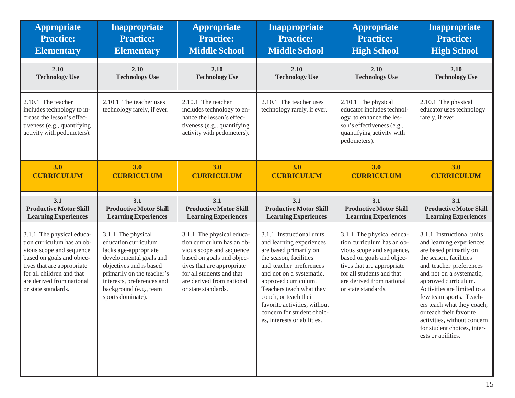| <b>Appropriate</b>                                                                                                                                                                                                              | <b>Inappropriate</b>                                                                                                                                                                                                                 | <b>Appropriate</b>                                                                                                                                                                                                              | Inappropriate                                                                                                                                                                                                                                                                                                                              | <b>Appropriate</b>                                                                                                                                                                                                               | <b>Inappropriate</b>                                                                                                                                                                                                                                                                                                                                                                            |
|---------------------------------------------------------------------------------------------------------------------------------------------------------------------------------------------------------------------------------|--------------------------------------------------------------------------------------------------------------------------------------------------------------------------------------------------------------------------------------|---------------------------------------------------------------------------------------------------------------------------------------------------------------------------------------------------------------------------------|--------------------------------------------------------------------------------------------------------------------------------------------------------------------------------------------------------------------------------------------------------------------------------------------------------------------------------------------|----------------------------------------------------------------------------------------------------------------------------------------------------------------------------------------------------------------------------------|-------------------------------------------------------------------------------------------------------------------------------------------------------------------------------------------------------------------------------------------------------------------------------------------------------------------------------------------------------------------------------------------------|
| <b>Practice:</b>                                                                                                                                                                                                                | <b>Practice:</b>                                                                                                                                                                                                                     | <b>Practice:</b>                                                                                                                                                                                                                | <b>Practice:</b>                                                                                                                                                                                                                                                                                                                           | <b>Practice:</b>                                                                                                                                                                                                                 | <b>Practice:</b>                                                                                                                                                                                                                                                                                                                                                                                |
| <b>Elementary</b>                                                                                                                                                                                                               | <b>Elementary</b>                                                                                                                                                                                                                    | <b>Middle School</b>                                                                                                                                                                                                            | <b>Middle School</b>                                                                                                                                                                                                                                                                                                                       | <b>High School</b>                                                                                                                                                                                                               | <b>High School</b>                                                                                                                                                                                                                                                                                                                                                                              |
| 2.10                                                                                                                                                                                                                            | 2.10                                                                                                                                                                                                                                 | 2.10                                                                                                                                                                                                                            | 2.10                                                                                                                                                                                                                                                                                                                                       | 2.10                                                                                                                                                                                                                             | 2.10                                                                                                                                                                                                                                                                                                                                                                                            |
| <b>Technology Use</b>                                                                                                                                                                                                           | <b>Technology Use</b>                                                                                                                                                                                                                | <b>Technology Use</b>                                                                                                                                                                                                           | <b>Technology Use</b>                                                                                                                                                                                                                                                                                                                      | <b>Technology Use</b>                                                                                                                                                                                                            | <b>Technology Use</b>                                                                                                                                                                                                                                                                                                                                                                           |
| 2.10.1 The teacher<br>includes technology to in-<br>crease the lesson's effec-<br>tiveness (e.g., quantifying<br>activity with pedometers).                                                                                     | 2.10.1 The teacher uses<br>technology rarely, if ever.                                                                                                                                                                               | 2.10.1 The teacher<br>includes technology to en-<br>hance the lesson's effec-<br>tiveness (e.g., quantifying<br>activity with pedometers).                                                                                      | 2.10.1 The teacher uses<br>technology rarely, if ever.                                                                                                                                                                                                                                                                                     | 2.10.1 The physical<br>educator includes technol-<br>ogy to enhance the les-<br>son's effectiveness (e.g.,<br>quantifying activity with<br>pedometers).                                                                          | 2.10.1 The physical<br>educator uses technology<br>rarely, if ever.                                                                                                                                                                                                                                                                                                                             |
| 3.0                                                                                                                                                                                                                             | 3.0                                                                                                                                                                                                                                  | 3.0                                                                                                                                                                                                                             | 3.0                                                                                                                                                                                                                                                                                                                                        | 3.0                                                                                                                                                                                                                              | 3.0                                                                                                                                                                                                                                                                                                                                                                                             |
| <b>CURRICULUM</b>                                                                                                                                                                                                               | <b>CURRICULUM</b>                                                                                                                                                                                                                    | <b>CURRICULUM</b>                                                                                                                                                                                                               | <b>CURRICULUM</b>                                                                                                                                                                                                                                                                                                                          | <b>CURRICULUM</b>                                                                                                                                                                                                                | <b>CURRICULUM</b>                                                                                                                                                                                                                                                                                                                                                                               |
| 3.1                                                                                                                                                                                                                             | 3.1                                                                                                                                                                                                                                  | 3.1                                                                                                                                                                                                                             | 3.1                                                                                                                                                                                                                                                                                                                                        | 3.1                                                                                                                                                                                                                              | 3.1                                                                                                                                                                                                                                                                                                                                                                                             |
| <b>Productive Motor Skill</b>                                                                                                                                                                                                   | <b>Productive Motor Skill</b>                                                                                                                                                                                                        | <b>Productive Motor Skill</b>                                                                                                                                                                                                   | <b>Productive Motor Skill</b>                                                                                                                                                                                                                                                                                                              | <b>Productive Motor Skill</b>                                                                                                                                                                                                    | <b>Productive Motor Skill</b>                                                                                                                                                                                                                                                                                                                                                                   |
| <b>Learning Experiences</b>                                                                                                                                                                                                     | <b>Learning Experiences</b>                                                                                                                                                                                                          | <b>Learning Experiences</b>                                                                                                                                                                                                     | <b>Learning Experiences</b>                                                                                                                                                                                                                                                                                                                | <b>Learning Experiences</b>                                                                                                                                                                                                      | <b>Learning Experiences</b>                                                                                                                                                                                                                                                                                                                                                                     |
| 3.1.1 The physical educa-<br>tion curriculum has an ob-<br>vious scope and sequence<br>based on goals and objec-<br>tives that are appropriate<br>for all children and that<br>are derived from national<br>or state standards. | 3.1.1 The physical<br>education curriculum<br>lacks age-appropriate<br>developmental goals and<br>objectives and is based<br>primarily on the teacher's<br>interests, preferences and<br>background (e.g., team<br>sports dominate). | 3.1.1 The physical educa-<br>tion curriculum has an ob-<br>vious scope and sequence<br>based on goals and objec-<br>tives that are appropriate<br>for all students and that<br>are derived from national<br>or state standards. | 3.1.1 Instructional units<br>and learning experiences<br>are based primarily on<br>the season, facilities<br>and teacher preferences<br>and not on a systematic,<br>approved curriculum.<br>Teachers teach what they<br>coach, or teach their<br>favorite activities, without<br>concern for student choic-<br>es, interests or abilities. | 3.1.1 The physical educa-<br>tion curriculum has an ob-<br>vious scope and sequence,<br>based on goals and objec-<br>tives that are appropriate<br>for all students and that<br>are derived from national<br>or state standards. | 3.1.1 Instructional units<br>and learning experiences<br>are based primarily on<br>the season, facilities<br>and teacher preferences<br>and not on a systematic,<br>approved curriculum.<br>Activities are limited to a<br>few team sports. Teach-<br>ers teach what they coach,<br>or teach their favorite<br>activities, without concern<br>for student choices, inter-<br>ests or abilities. |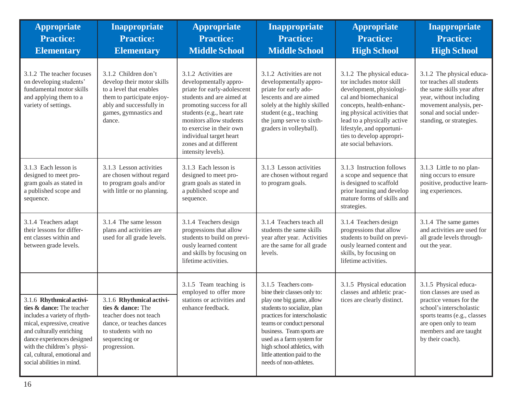| <b>Appropriate</b><br><b>Practice:</b><br><b>Elementary</b>                                                                                                                                                                                                               | Inappropriate<br><b>Practice:</b><br><b>Elementary</b>                                                                                                                     | <b>Appropriate</b><br><b>Practice:</b><br><b>Middle School</b>                                                                                                                                                                                                                                          | <b>Inappropriate</b><br><b>Practice:</b><br><b>Middle School</b>                                                                                                                                                                                                                                                               | <b>Appropriate</b><br><b>Practice:</b><br><b>High School</b>                                                                                                                                                                                                                             | Inappropriate<br><b>Practice:</b><br><b>High School</b>                                                                                                                                                        |
|---------------------------------------------------------------------------------------------------------------------------------------------------------------------------------------------------------------------------------------------------------------------------|----------------------------------------------------------------------------------------------------------------------------------------------------------------------------|---------------------------------------------------------------------------------------------------------------------------------------------------------------------------------------------------------------------------------------------------------------------------------------------------------|--------------------------------------------------------------------------------------------------------------------------------------------------------------------------------------------------------------------------------------------------------------------------------------------------------------------------------|------------------------------------------------------------------------------------------------------------------------------------------------------------------------------------------------------------------------------------------------------------------------------------------|----------------------------------------------------------------------------------------------------------------------------------------------------------------------------------------------------------------|
| 3.1.2 The teacher focuses<br>on developing students'<br>fundamental motor skills<br>and applying them to a<br>variety of settings.                                                                                                                                        | 3.1.2 Children don't<br>develop their motor skills<br>to a level that enables<br>them to participate enjoy-<br>ably and successfully in<br>games, gymnastics and<br>dance. | 3.1.2 Activities are<br>developmentally appro-<br>priate for early-adolescent<br>students and are aimed at<br>promoting success for all<br>students (e.g., heart rate<br>monitors allow students<br>to exercise in their own<br>individual target heart<br>zones and at different<br>intensity levels). | 3.1.2 Activities are not<br>developmentally appro-<br>priate for early ado-<br>lescents and are aimed<br>solely at the highly skilled<br>student (e.g., teaching<br>the jump serve to sixth-<br>graders in volleyball).                                                                                                        | 3.1.2 The physical educa-<br>tor includes motor skill<br>development, physiologi-<br>cal and biomechanical<br>concepts, health-enhanc-<br>ing physical activities that<br>lead to a physically active<br>lifestyle, and opportuni-<br>ties to develop appropri-<br>ate social behaviors. | 3.1.2 The physical educa-<br>tor teaches all students<br>the same skills year after<br>year, without including<br>movement analysis, per-<br>sonal and social under-<br>standing, or strategies.               |
| 3.1.3 Each lesson is<br>designed to meet pro-<br>gram goals as stated in<br>a published scope and<br>sequence.                                                                                                                                                            | 3.1.3 Lesson activities<br>are chosen without regard<br>to program goals and/or<br>with little or no planning.                                                             | 3.1.3 Each lesson is<br>designed to meet pro-<br>gram goals as stated in<br>a published scope and<br>sequence.                                                                                                                                                                                          | 3.1.3 Lesson activities<br>are chosen without regard<br>to program goals.                                                                                                                                                                                                                                                      | 3.1.3 Instruction follows<br>a scope and sequence that<br>is designed to scaffold<br>prior learning and develop<br>mature forms of skills and<br>strategies.                                                                                                                             | 3.1.3 Little to no plan-<br>ning occurs to ensure<br>positive, productive learn-<br>ing experiences.                                                                                                           |
| 3.1.4 Teachers adapt<br>their lessons for differ-<br>ent classes within and<br>between grade levels.                                                                                                                                                                      | 3.1.4 The same lesson<br>plans and activities are<br>used for all grade levels.                                                                                            | 3.1.4 Teachers design<br>progressions that allow<br>students to build on previ-<br>ously learned content<br>and skills by focusing on<br>lifetime activities.                                                                                                                                           | 3.1.4 Teachers teach all<br>students the same skills<br>year after year. Activities<br>are the same for all grade<br>levels.                                                                                                                                                                                                   | 3.1.4 Teachers design<br>progressions that allow<br>students to build on previ-<br>ously learned content and<br>skills, by focusing on<br>lifetime activities.                                                                                                                           | 3.1.4 The same games<br>and activities are used for<br>all grade levels through-<br>out the year.                                                                                                              |
| 3.1.6 Rhythmical activi-<br>ties & dance: The teacher<br>includes a variety of rhyth-<br>mical, expressive, creative<br>and culturally enriching<br>dance experiences designed<br>with the children's physi-<br>cal, cultural, emotional and<br>social abilities in mind. | 3.1.6 Rhythmical activi-<br>ties & dance: The<br>teacher does not teach<br>dance, or teaches dances<br>to students with no<br>sequencing or<br>progression.                | 3.1.5 Team teaching is<br>employed to offer more<br>stations or activities and<br>enhance feedback.                                                                                                                                                                                                     | 3.1.5 Teachers com-<br>bine their classes only to:<br>play one big game, allow<br>students to socialize, plan<br>practices for interscholastic<br>teams or conduct personal<br>business. Team sports are<br>used as a farm system for<br>high school athletics, with<br>little attention paid to the<br>needs of non-athletes. | 3.1.5 Physical education<br>classes and athletic prac-<br>tices are clearly distinct.                                                                                                                                                                                                    | 3.1.5 Physical educa-<br>tion classes are used as<br>practice venues for the<br>school's interscholastic<br>sports teams (e.g., classes<br>are open only to team<br>members and are taught<br>by their coach). |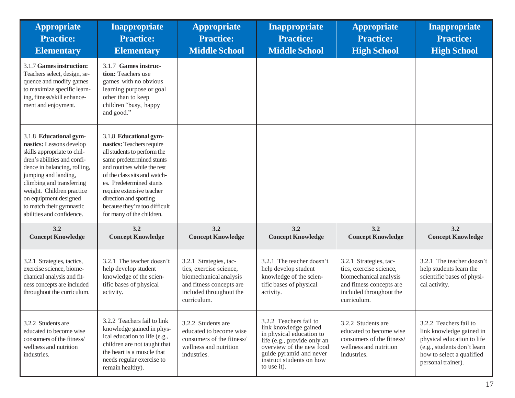| <b>Appropriate</b><br><b>Practice:</b><br><b>Elementary</b>                                                                                                                                                                                                                                                          | <b>Inappropriate</b><br><b>Practice:</b><br><b>Elementary</b>                                                                                                                                                                                                                                                                   | <b>Appropriate</b><br><b>Practice:</b><br><b>Middle School</b>                                                                                    | Inappropriate<br><b>Practice:</b><br><b>Middle School</b>                                                                                                                                                    | <b>Appropriate</b><br><b>Practice:</b><br><b>High School</b>                                                                                      | <b>Inappropriate</b><br><b>Practice:</b><br><b>High School</b>                                                                                                     |
|----------------------------------------------------------------------------------------------------------------------------------------------------------------------------------------------------------------------------------------------------------------------------------------------------------------------|---------------------------------------------------------------------------------------------------------------------------------------------------------------------------------------------------------------------------------------------------------------------------------------------------------------------------------|---------------------------------------------------------------------------------------------------------------------------------------------------|--------------------------------------------------------------------------------------------------------------------------------------------------------------------------------------------------------------|---------------------------------------------------------------------------------------------------------------------------------------------------|--------------------------------------------------------------------------------------------------------------------------------------------------------------------|
| 3.1.7 Games instruction:<br>Teachers select, design, se-<br>quence and modify games<br>to maximize specific learn-<br>ing, fitness/skill enhance-<br>ment and enjoyment.                                                                                                                                             | 3.1.7 Games instruc-<br>tion: Teachers use<br>games with no obvious<br>learning purpose or goal<br>other than to keep<br>children "busy, happy<br>and good."                                                                                                                                                                    |                                                                                                                                                   |                                                                                                                                                                                                              |                                                                                                                                                   |                                                                                                                                                                    |
| 3.1.8 Educational gym-<br>nastics: Lessons develop<br>skills appropriate to chil-<br>dren's abilities and confi-<br>dence in balancing, rolling,<br>jumping and landing,<br>climbing and transferring<br>weight. Children practice<br>on equipment designed<br>to match their gymnastic<br>abilities and confidence. | 3.1.8 Educational gym-<br>nastics: Teachers require<br>all students to perform the<br>same predetermined stunts<br>and routines while the rest<br>of the class sits and watch-<br>es. Predetermined stunts<br>require extensive teacher<br>direction and spotting<br>because they're too difficult<br>for many of the children. |                                                                                                                                                   |                                                                                                                                                                                                              |                                                                                                                                                   |                                                                                                                                                                    |
| 3.2<br><b>Concept Knowledge</b>                                                                                                                                                                                                                                                                                      | 3.2<br><b>Concept Knowledge</b>                                                                                                                                                                                                                                                                                                 | 3.2<br><b>Concept Knowledge</b>                                                                                                                   | 3.2<br><b>Concept Knowledge</b>                                                                                                                                                                              | 3.2<br><b>Concept Knowledge</b>                                                                                                                   | 3.2<br><b>Concept Knowledge</b>                                                                                                                                    |
| 3.2.1 Strategies, tactics,<br>exercise science, biome-<br>chanical analysis and fit-<br>ness concepts are included<br>throughout the curriculum.                                                                                                                                                                     | 3.2.1 The teacher doesn't<br>help develop student<br>knowledge of the scien-<br>tific bases of physical<br>activity.                                                                                                                                                                                                            | 3.2.1 Strategies, tac-<br>tics, exercise science,<br>biomechanical analysis<br>and fitness concepts are<br>included throughout the<br>curriculum. | 3.2.1 The teacher doesn't<br>help develop student<br>knowledge of the scien-<br>tific bases of physical<br>activity.                                                                                         | 3.2.1 Strategies, tac-<br>tics, exercise science,<br>biomechanical analysis<br>and fitness concepts are<br>included throughout the<br>curriculum. | 3.2.1 The teacher doesn't<br>help students learn the<br>scientific bases of physi-<br>cal activity.                                                                |
| 3.2.2 Students are<br>educated to become wise<br>consumers of the fitness/<br>wellness and nutrition<br>industries.                                                                                                                                                                                                  | 3.2.2 Teachers fail to link<br>knowledge gained in phys-<br>ical education to life (e.g.,<br>children are not taught that<br>the heart is a muscle that<br>needs regular exercise to<br>remain healthy).                                                                                                                        | 3.2.2 Students are<br>educated to become wise<br>consumers of the fitness/<br>wellness and nutrition<br>industries.                               | 3.2.2 Teachers fail to<br>link knowledge gained<br>in physical education to<br>life (e.g., provide only an<br>overview of the new food<br>guide pyramid and never<br>instruct students on how<br>to use it). | 3.2.2 Students are<br>educated to become wise<br>consumers of the fitness/<br>wellness and nutrition<br>industries.                               | 3.2.2 Teachers fail to<br>link knowledge gained in<br>physical education to life<br>(e.g., students don't learn<br>how to select a qualified<br>personal trainer). |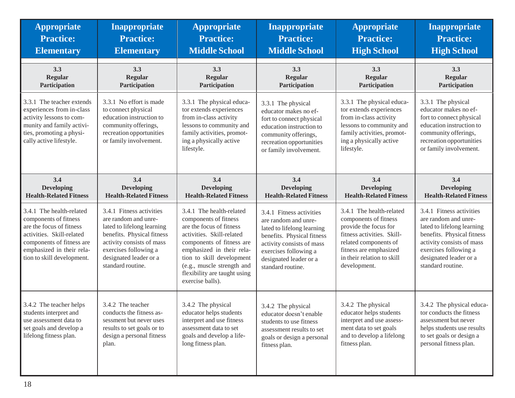| <b>Appropriate</b>                                                                                                                                                                                 | <b>Inappropriate</b>                                                                                                                                                                                              | <b>Appropriate</b>                                                                                                                                                                                                                                                                  | Inappropriate                                                                                                                                                                                                     | <b>Appropriate</b>                                                                                                                                                                                        | <b>Inappropriate</b>                                                                                                                                                                                              |
|----------------------------------------------------------------------------------------------------------------------------------------------------------------------------------------------------|-------------------------------------------------------------------------------------------------------------------------------------------------------------------------------------------------------------------|-------------------------------------------------------------------------------------------------------------------------------------------------------------------------------------------------------------------------------------------------------------------------------------|-------------------------------------------------------------------------------------------------------------------------------------------------------------------------------------------------------------------|-----------------------------------------------------------------------------------------------------------------------------------------------------------------------------------------------------------|-------------------------------------------------------------------------------------------------------------------------------------------------------------------------------------------------------------------|
| <b>Practice:</b>                                                                                                                                                                                   | <b>Practice:</b>                                                                                                                                                                                                  | <b>Practice:</b>                                                                                                                                                                                                                                                                    | <b>Practice:</b>                                                                                                                                                                                                  | <b>Practice:</b>                                                                                                                                                                                          | <b>Practice:</b>                                                                                                                                                                                                  |
| <b>Elementary</b>                                                                                                                                                                                  | <b>Elementary</b>                                                                                                                                                                                                 | <b>Middle School</b>                                                                                                                                                                                                                                                                | <b>Middle School</b>                                                                                                                                                                                              | <b>High School</b>                                                                                                                                                                                        | <b>High School</b>                                                                                                                                                                                                |
| 3.3                                                                                                                                                                                                | 3.3                                                                                                                                                                                                               | 3.3                                                                                                                                                                                                                                                                                 | 3.3                                                                                                                                                                                                               | 3.3                                                                                                                                                                                                       | 3.3                                                                                                                                                                                                               |
| <b>Regular</b>                                                                                                                                                                                     | <b>Regular</b>                                                                                                                                                                                                    | <b>Regular</b>                                                                                                                                                                                                                                                                      | <b>Regular</b>                                                                                                                                                                                                    | Regular                                                                                                                                                                                                   | <b>Regular</b>                                                                                                                                                                                                    |
| Participation                                                                                                                                                                                      | Participation                                                                                                                                                                                                     | Participation                                                                                                                                                                                                                                                                       | Participation                                                                                                                                                                                                     | Participation                                                                                                                                                                                             | Participation                                                                                                                                                                                                     |
| 3.3.1 The teacher extends<br>experiences from in-class<br>activity lessons to com-<br>munity and family activi-<br>ties, promoting a physi-<br>cally active lifestyle.                             | 3.3.1 No effort is made<br>to connect physical<br>education instruction to<br>community offerings,<br>recreation opportunities<br>or family involvement.                                                          | 3.3.1 The physical educa-<br>tor extends experiences<br>from in-class activity<br>lessons to community and<br>family activities, promot-<br>ing a physically active<br>lifestyle.                                                                                                   | 3.3.1 The physical<br>educator makes no ef-<br>fort to connect physical<br>education instruction to<br>community offerings,<br>recreation opportunities<br>or family involvement.                                 | 3.3.1 The physical educa-<br>tor extends experiences<br>from in-class activity<br>lessons to community and<br>family activities, promot-<br>ing a physically active<br>lifestyle.                         | 3.3.1 The physical<br>educator makes no ef-<br>fort to connect physical<br>education instruction to<br>community offerings,<br>recreation opportunities<br>or family involvement.                                 |
| 3.4                                                                                                                                                                                                | 3.4                                                                                                                                                                                                               | 3.4                                                                                                                                                                                                                                                                                 | 3.4                                                                                                                                                                                                               | 3.4                                                                                                                                                                                                       | 3.4                                                                                                                                                                                                               |
| <b>Developing</b>                                                                                                                                                                                  | <b>Developing</b>                                                                                                                                                                                                 | <b>Developing</b>                                                                                                                                                                                                                                                                   | <b>Developing</b>                                                                                                                                                                                                 | <b>Developing</b>                                                                                                                                                                                         | <b>Developing</b>                                                                                                                                                                                                 |
| <b>Health-Related Fitness</b>                                                                                                                                                                      | <b>Health-Related Fitness</b>                                                                                                                                                                                     | <b>Health-Related Fitness</b>                                                                                                                                                                                                                                                       | <b>Health-Related Fitness</b>                                                                                                                                                                                     | <b>Health-Related Fitness</b>                                                                                                                                                                             | <b>Health-Related Fitness</b>                                                                                                                                                                                     |
| 3.4.1 The health-related<br>components of fitness<br>are the focus of fitness<br>activities. Skill-related<br>components of fitness are<br>emphasized in their rela-<br>tion to skill development. | 3.4.1 Fitness activities<br>are random and unre-<br>lated to lifelong learning<br>benefits. Physical fitness<br>activity consists of mass<br>exercises following a<br>designated leader or a<br>standard routine. | 3.4.1 The health-related<br>components of fitness<br>are the focus of fitness<br>activities. Skill-related<br>components of fitness are<br>emphasized in their rela-<br>tion to skill development<br>(e.g., muscle strength and<br>flexibility are taught using<br>exercise balls). | 3.4.1 Fitness activities<br>are random and unre-<br>lated to lifelong learning<br>benefits. Physical fitness<br>activity consists of mass<br>exercises following a<br>designated leader or a<br>standard routine. | 3.4.1 The health-related<br>components of fitness<br>provide the focus for<br>fitness activities. Skill-<br>related components of<br>fitness are emphasized<br>in their relation to skill<br>development. | 3.4.1 Fitness activities<br>are random and unre-<br>lated to lifelong learning<br>benefits. Physical fitness<br>activity consists of mass<br>exercises following a<br>designated leader or a<br>standard routine. |
| 3.4.2 The teacher helps<br>students interpret and<br>use assessment data to<br>set goals and develop a<br>lifelong fitness plan.                                                                   | 3.4.2 The teacher<br>conducts the fitness as-<br>sessment but never uses<br>results to set goals or to<br>design a personal fitness<br>plan.                                                                      | 3.4.2 The physical<br>educator helps students<br>interpret and use fitness<br>assessment data to set<br>goals and develop a life-<br>long fitness plan.                                                                                                                             | 3.4.2 The physical<br>educator doesn't enable<br>students to use fitness<br>assessment results to set<br>goals or design a personal<br>fitness plan.                                                              | 3.4.2 The physical<br>educator helps students<br>interpret and use assess-<br>ment data to set goals<br>and to develop a lifelong<br>fitness plan.                                                        | 3.4.2 The physical educa-<br>tor conducts the fitness<br>assessment but never<br>helps students use results<br>to set goals or design a<br>personal fitness plan.                                                 |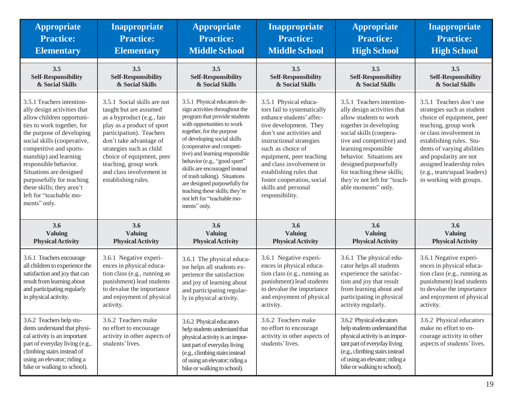| <b>Appropriate</b>                                                                                                                                                                                                                                                                                                                                                                           | Inappropriate                                                                                                                                                                                                                                                                                                | <b>Appropriate</b>                                                                                                                                                                                                                                                                                                                                                                                                                                                           | Inappropriate                                                                                                                                                                                                                                                                                                                                      | <b>Appropriate</b>                                                                                                                                                                                                                                                                                                                     | <b>Inappropriate</b>                                                                                                                                                                                                                                                                                             |
|----------------------------------------------------------------------------------------------------------------------------------------------------------------------------------------------------------------------------------------------------------------------------------------------------------------------------------------------------------------------------------------------|--------------------------------------------------------------------------------------------------------------------------------------------------------------------------------------------------------------------------------------------------------------------------------------------------------------|------------------------------------------------------------------------------------------------------------------------------------------------------------------------------------------------------------------------------------------------------------------------------------------------------------------------------------------------------------------------------------------------------------------------------------------------------------------------------|----------------------------------------------------------------------------------------------------------------------------------------------------------------------------------------------------------------------------------------------------------------------------------------------------------------------------------------------------|----------------------------------------------------------------------------------------------------------------------------------------------------------------------------------------------------------------------------------------------------------------------------------------------------------------------------------------|------------------------------------------------------------------------------------------------------------------------------------------------------------------------------------------------------------------------------------------------------------------------------------------------------------------|
| <b>Practice:</b>                                                                                                                                                                                                                                                                                                                                                                             | <b>Practice:</b>                                                                                                                                                                                                                                                                                             | <b>Practice:</b>                                                                                                                                                                                                                                                                                                                                                                                                                                                             | <b>Practice:</b>                                                                                                                                                                                                                                                                                                                                   | <b>Practice:</b>                                                                                                                                                                                                                                                                                                                       | <b>Practice:</b>                                                                                                                                                                                                                                                                                                 |
| <b>Elementary</b>                                                                                                                                                                                                                                                                                                                                                                            | <b>Elementary</b>                                                                                                                                                                                                                                                                                            | <b>Middle School</b>                                                                                                                                                                                                                                                                                                                                                                                                                                                         | <b>Middle School</b>                                                                                                                                                                                                                                                                                                                               | <b>High School</b>                                                                                                                                                                                                                                                                                                                     | <b>High School</b>                                                                                                                                                                                                                                                                                               |
| 3.5                                                                                                                                                                                                                                                                                                                                                                                          | 3.5                                                                                                                                                                                                                                                                                                          | 3.5                                                                                                                                                                                                                                                                                                                                                                                                                                                                          | 3.5                                                                                                                                                                                                                                                                                                                                                | 3.5                                                                                                                                                                                                                                                                                                                                    | 3.5                                                                                                                                                                                                                                                                                                              |
| <b>Self-Responsibility</b>                                                                                                                                                                                                                                                                                                                                                                   | <b>Self-Responsibility</b>                                                                                                                                                                                                                                                                                   | <b>Self-Responsibility</b>                                                                                                                                                                                                                                                                                                                                                                                                                                                   | <b>Self-Responsibility</b>                                                                                                                                                                                                                                                                                                                         | <b>Self-Responsibility</b>                                                                                                                                                                                                                                                                                                             | <b>Self-Responsibility</b>                                                                                                                                                                                                                                                                                       |
| & Social Skills                                                                                                                                                                                                                                                                                                                                                                              | & Social Skills                                                                                                                                                                                                                                                                                              | & Social Skills                                                                                                                                                                                                                                                                                                                                                                                                                                                              | & Social Skills                                                                                                                                                                                                                                                                                                                                    | & Social Skills                                                                                                                                                                                                                                                                                                                        | & Social Skills                                                                                                                                                                                                                                                                                                  |
| 3.5.1 Teachers intention-<br>ally design activities that<br>allow children opportuni-<br>ties to work together, for<br>the purpose of developing<br>social skills (cooperative,<br>competitive and sports-<br>manship) and learning<br>responsible behavior.<br>Situations are designed<br>purposefully for teaching<br>these skills; they aren't<br>left for "teachable mo-<br>ments" only. | 3.5.1 Social skills are not<br>taught but are assumed<br>as a byproduct (e.g., fair<br>play as a product of sport<br>participation). Teachers<br>don't take advantage of<br>strategies such as child<br>choice of equipment, peer<br>teaching, group work<br>and class involvement in<br>establishing rules. | 3.5.1 Physical educators de-<br>sign activities throughout the<br>program that provide students<br>with opportunities to work<br>together, for the purpose<br>of developing social skills<br>(cooperative and competi-<br>tive) and learning responsible<br>behavior (e.g., "good sport"<br>skills are encouraged instead<br>of trash talking). Situations<br>are designed purposefully for<br>teaching these skills; they're<br>not left for "teachable mo-<br>ments" only. | 3.5.1 Physical educa-<br>tors fail to systematically<br>enhance students' affec-<br>tive development. They<br>don't use activities and<br>instructional strategies<br>such as choice of<br>equipment, peer teaching<br>and class involvement in<br>establishing rules that<br>foster cooperation, social<br>skills and personal<br>responsibility. | 3.5.1 Teachers intention-<br>ally design activities that<br>allow students to work<br>together in developing<br>social skills (coopera-<br>tive and competitive) and<br>learning responsible<br>behavior. Situations are<br>designed purposefully<br>for teaching these skills;<br>they're not left for "teach-<br>able moments" only. | 3.5.1 Teachers don't use<br>strategies such as student<br>choice of equipment, peer<br>teaching, group work<br>or class involvement in<br>establishing rules. Stu-<br>dents of varying abilities<br>and popularity are not<br>assigned leadership roles<br>(e.g., team/squad leaders)<br>in working with groups. |
| 3.6                                                                                                                                                                                                                                                                                                                                                                                          | 3.6                                                                                                                                                                                                                                                                                                          | 3.6                                                                                                                                                                                                                                                                                                                                                                                                                                                                          | 3.6                                                                                                                                                                                                                                                                                                                                                | 3.6                                                                                                                                                                                                                                                                                                                                    | 3.6                                                                                                                                                                                                                                                                                                              |
| <b>Valuing</b>                                                                                                                                                                                                                                                                                                                                                                               | <b>Valuing</b>                                                                                                                                                                                                                                                                                               | <b>Valuing</b>                                                                                                                                                                                                                                                                                                                                                                                                                                                               | Valuing                                                                                                                                                                                                                                                                                                                                            | Valuing                                                                                                                                                                                                                                                                                                                                | <b>Valuing</b>                                                                                                                                                                                                                                                                                                   |
| <b>Physical Activity</b>                                                                                                                                                                                                                                                                                                                                                                     | <b>Physical Activity</b>                                                                                                                                                                                                                                                                                     | <b>Physical Activity</b>                                                                                                                                                                                                                                                                                                                                                                                                                                                     | <b>Physical Activity</b>                                                                                                                                                                                                                                                                                                                           | <b>Physical Activity</b>                                                                                                                                                                                                                                                                                                               | <b>Physical Activity</b>                                                                                                                                                                                                                                                                                         |
| 3.6.1 Teachers encourage<br>all children to experience the<br>satisfaction and joy that can<br>result from learning about<br>and participating regularly<br>in physical activity.                                                                                                                                                                                                            | 3.6.1 Negative experi-<br>ences in physical educa-<br>tion class (e.g., running as<br>punishment) lead students<br>to devalue the importance<br>and enjoyment of physical<br>activity.                                                                                                                       | 3.6.1 The physical educa-<br>tor helps all students ex-<br>perience the satisfaction<br>and joy of learning about<br>and participating regular-<br>ly in physical activity.                                                                                                                                                                                                                                                                                                  | 3.6.1 Negative experi-<br>ences in physical educa-<br>tion class (e.g., running as<br>punishment) lead students<br>to devalue the importance<br>and enjoyment of physical<br>activity.                                                                                                                                                             | 3.6.1 The physical edu-<br>cator helps all students<br>experience the satisfac-<br>tion and joy that result<br>from learning about and<br>participating in physical<br>activity regularly.                                                                                                                                             | 3.6.1 Negative experi-<br>ences in physical educa-<br>tion class (e.g., running as<br>punishment) lead students<br>to devalue the importance<br>and enjoyment of physical<br>activity.                                                                                                                           |
| 3.6.2 Teachers help stu-<br>dents understand that physi-<br>cal activity is an important<br>part of everyday living (e.g.,<br>climbing stairs instead of<br>using an elevator; riding a<br>bike or walking to school).                                                                                                                                                                       | 3.6.2 Teachers make<br>no effort to encourage<br>activity in other aspects of<br>students' lives.                                                                                                                                                                                                            | 3.6.2 Physical educators<br>help students understand that<br>physical activity is an impor-<br>tant part of everyday living<br>(e.g., climbing stairs instead<br>of using an elevator; riding a<br>bike or walking to school).                                                                                                                                                                                                                                               | 3.6.2 Teachers make<br>no effort to encourage<br>activity in other aspects of<br>students' lives.                                                                                                                                                                                                                                                  | 3.6.2 Physical educators<br>help students understand that<br>physical activity is an impor-<br>tant part of everyday living<br>(e.g., climbing stairs instead<br>of using an elevator; riding a<br>bike or walking to school).                                                                                                         | 3.6.2 Physical educators<br>make no effort to en-<br>courage activity in other<br>aspects of students' lives.                                                                                                                                                                                                    |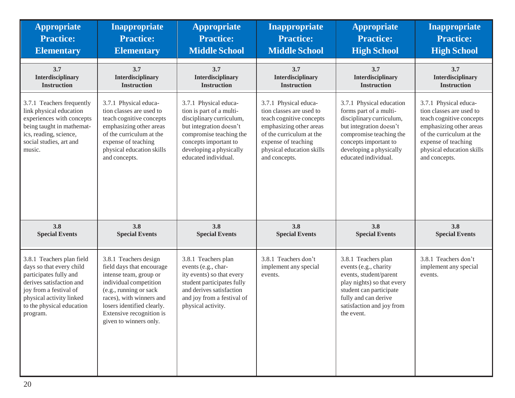| <b>Appropriate</b>                                                                                                                                                                                         | Inappropriate                                                                                                                                                                                                                                    | <b>Appropriate</b>                                                                                                                                                                                              | <b>Inappropriate</b>                                                                                                                                                                                      | <b>Appropriate</b>                                                                                                                                                                                               | <b>Inappropriate</b>                                                                                                                                                                                      |
|------------------------------------------------------------------------------------------------------------------------------------------------------------------------------------------------------------|--------------------------------------------------------------------------------------------------------------------------------------------------------------------------------------------------------------------------------------------------|-----------------------------------------------------------------------------------------------------------------------------------------------------------------------------------------------------------------|-----------------------------------------------------------------------------------------------------------------------------------------------------------------------------------------------------------|------------------------------------------------------------------------------------------------------------------------------------------------------------------------------------------------------------------|-----------------------------------------------------------------------------------------------------------------------------------------------------------------------------------------------------------|
| <b>Practice:</b>                                                                                                                                                                                           | <b>Practice:</b>                                                                                                                                                                                                                                 | <b>Practice:</b>                                                                                                                                                                                                | <b>Practice:</b>                                                                                                                                                                                          | <b>Practice:</b>                                                                                                                                                                                                 | <b>Practice:</b>                                                                                                                                                                                          |
| <b>Elementary</b>                                                                                                                                                                                          | <b>Elementary</b>                                                                                                                                                                                                                                | <b>Middle School</b>                                                                                                                                                                                            | <b>Middle School</b>                                                                                                                                                                                      | <b>High School</b>                                                                                                                                                                                               | <b>High School</b>                                                                                                                                                                                        |
| 3.7                                                                                                                                                                                                        | 3.7                                                                                                                                                                                                                                              | 3.7                                                                                                                                                                                                             | 3.7                                                                                                                                                                                                       | 3.7                                                                                                                                                                                                              | 3.7                                                                                                                                                                                                       |
| <b>Interdisciplinary</b>                                                                                                                                                                                   | Interdisciplinary                                                                                                                                                                                                                                | <b>Interdisciplinary</b>                                                                                                                                                                                        | Interdisciplinary                                                                                                                                                                                         | Interdisciplinary                                                                                                                                                                                                | Interdisciplinary                                                                                                                                                                                         |
| <b>Instruction</b>                                                                                                                                                                                         | <b>Instruction</b>                                                                                                                                                                                                                               | <b>Instruction</b>                                                                                                                                                                                              | <b>Instruction</b>                                                                                                                                                                                        | <b>Instruction</b>                                                                                                                                                                                               | <b>Instruction</b>                                                                                                                                                                                        |
| 3.7.1 Teachers frequently<br>link physical education<br>experiences with concepts<br>being taught in mathemat-<br>ics, reading, science,<br>social studies, art and<br>music.                              | 3.7.1 Physical educa-<br>tion classes are used to<br>teach cognitive concepts<br>emphasizing other areas<br>of the curriculum at the<br>expense of teaching<br>physical education skills<br>and concepts.                                        | 3.7.1 Physical educa-<br>tion is part of a multi-<br>disciplinary curriculum,<br>but integration doesn't<br>compromise teaching the<br>concepts important to<br>developing a physically<br>educated individual. | 3.7.1 Physical educa-<br>tion classes are used to<br>teach cognitive concepts<br>emphasizing other areas<br>of the curriculum at the<br>expense of teaching<br>physical education skills<br>and concepts. | 3.7.1 Physical education<br>forms part of a multi-<br>disciplinary curriculum,<br>but integration doesn't<br>compromise teaching the<br>concepts important to<br>developing a physically<br>educated individual. | 3.7.1 Physical educa-<br>tion classes are used to<br>teach cognitive concepts<br>emphasizing other areas<br>of the curriculum at the<br>expense of teaching<br>physical education skills<br>and concepts. |
| 3.8                                                                                                                                                                                                        | 3.8                                                                                                                                                                                                                                              | 3.8                                                                                                                                                                                                             | 3.8                                                                                                                                                                                                       | 3.8                                                                                                                                                                                                              | 3.8                                                                                                                                                                                                       |
| <b>Special Events</b>                                                                                                                                                                                      | <b>Special Events</b>                                                                                                                                                                                                                            | <b>Special Events</b>                                                                                                                                                                                           | <b>Special Events</b>                                                                                                                                                                                     | <b>Special Events</b>                                                                                                                                                                                            | <b>Special Events</b>                                                                                                                                                                                     |
| 3.8.1 Teachers plan field<br>days so that every child<br>participates fully and<br>derives satisfaction and<br>joy from a festival of<br>physical activity linked<br>to the physical education<br>program. | 3.8.1 Teachers design<br>field days that encourage<br>intense team, group or<br>individual competition<br>(e.g., running or sack<br>races), with winners and<br>losers identified clearly.<br>Extensive recognition is<br>given to winners only. | 3.8.1 Teachers plan<br>events (e.g., char-<br>ity events) so that every<br>student participates fully<br>and derives satisfaction<br>and joy from a festival of<br>physical activity.                           | 3.8.1 Teachers don't<br>implement any special<br>events.                                                                                                                                                  | 3.8.1 Teachers plan<br>events (e.g., charity<br>events, student/parent<br>play nights) so that every<br>student can participate<br>fully and can derive<br>satisfaction and joy from<br>the event.               | 3.8.1 Teachers don't<br>implement any special<br>events.                                                                                                                                                  |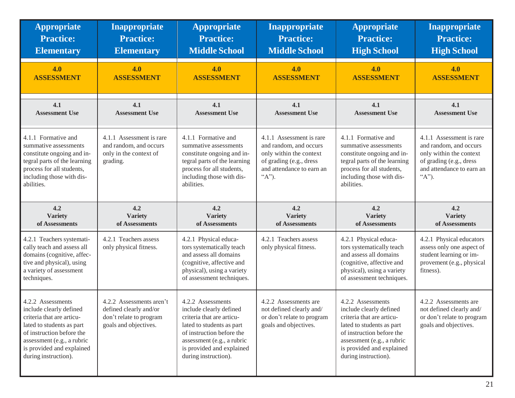| <b>Appropriate</b>                                                                                                                                                                                                     | <b>Inappropriate</b>                                                                                   | <b>Appropriate</b>                                                                                                                                                                                                     | <b>Inappropriate</b>                                                                                                                                     | <b>Appropriate</b>                                                                                                                                                                                                     | <b>Inappropriate</b>                                                                                                                                            |
|------------------------------------------------------------------------------------------------------------------------------------------------------------------------------------------------------------------------|--------------------------------------------------------------------------------------------------------|------------------------------------------------------------------------------------------------------------------------------------------------------------------------------------------------------------------------|----------------------------------------------------------------------------------------------------------------------------------------------------------|------------------------------------------------------------------------------------------------------------------------------------------------------------------------------------------------------------------------|-----------------------------------------------------------------------------------------------------------------------------------------------------------------|
| <b>Practice:</b>                                                                                                                                                                                                       | <b>Practice:</b>                                                                                       | <b>Practice:</b>                                                                                                                                                                                                       | <b>Practice:</b>                                                                                                                                         | <b>Practice:</b>                                                                                                                                                                                                       | <b>Practice:</b>                                                                                                                                                |
| <b>Elementary</b>                                                                                                                                                                                                      | <b>Elementary</b>                                                                                      | <b>Middle School</b>                                                                                                                                                                                                   | <b>Middle School</b>                                                                                                                                     | <b>High School</b>                                                                                                                                                                                                     | <b>High School</b>                                                                                                                                              |
| 4.0                                                                                                                                                                                                                    | 4.0                                                                                                    | 4.0                                                                                                                                                                                                                    | 4.0                                                                                                                                                      | 4.0                                                                                                                                                                                                                    | 4.0                                                                                                                                                             |
| <b>ASSESSMENT</b>                                                                                                                                                                                                      | <b>ASSESSMENT</b>                                                                                      | <b>ASSESSMENT</b>                                                                                                                                                                                                      | <b>ASSESSMENT</b>                                                                                                                                        | <b>ASSESSMENT</b>                                                                                                                                                                                                      | <b>ASSESSMENT</b>                                                                                                                                               |
| 4.1                                                                                                                                                                                                                    | 4.1                                                                                                    | 4.1                                                                                                                                                                                                                    | 4.1                                                                                                                                                      | 4.1                                                                                                                                                                                                                    | 4.1                                                                                                                                                             |
| <b>Assessment Use</b>                                                                                                                                                                                                  | <b>Assessment Use</b>                                                                                  | <b>Assessment Use</b>                                                                                                                                                                                                  | <b>Assessment Use</b>                                                                                                                                    | <b>Assessment Use</b>                                                                                                                                                                                                  | <b>Assessment Use</b>                                                                                                                                           |
| 4.1.1 Formative and<br>summative assessments<br>constitute ongoing and in-<br>tegral parts of the learning<br>process for all students,<br>including those with dis-<br>abilities.                                     | 4.1.1 Assessment is rare<br>and random, and occurs<br>only in the context of<br>grading.               | 4.1.1 Formative and<br>summative assessments<br>constitute ongoing and in-<br>tegral parts of the learning<br>process for all students,<br>including those with dis-<br>abilities.                                     | 4.1.1 Assessment is rare<br>and random, and occurs<br>only within the context<br>of grading (e.g., dress<br>and attendance to earn an<br>$\lq \lq A$ "). | 4.1.1 Formative and<br>summative assessments<br>constitute ongoing and in-<br>tegral parts of the learning<br>process for all students,<br>including those with dis-<br>abilities.                                     | 4.1.1 Assessment is rare<br>and random, and occurs<br>only within the context<br>of grading (e.g., dress<br>and attendance to earn an<br>$(A^{\prime\prime})$ . |
| 4.2                                                                                                                                                                                                                    | 4.2                                                                                                    | 4.2                                                                                                                                                                                                                    | 4.2                                                                                                                                                      | 4.2                                                                                                                                                                                                                    | 4.2                                                                                                                                                             |
| <b>Variety</b>                                                                                                                                                                                                         | <b>Variety</b>                                                                                         | <b>Variety</b>                                                                                                                                                                                                         | <b>Variety</b>                                                                                                                                           | <b>Variety</b>                                                                                                                                                                                                         | <b>Variety</b>                                                                                                                                                  |
| of Assessments                                                                                                                                                                                                         | of Assessments                                                                                         | of Assessments                                                                                                                                                                                                         | of Assessments                                                                                                                                           | of Assessments                                                                                                                                                                                                         | of Assessments                                                                                                                                                  |
| 4.2.1 Teachers systemati-<br>cally teach and assess all<br>domains (cognitive, affec-<br>tive and physical), using<br>a variety of assessment<br>techniques.                                                           | 4.2.1 Teachers assess<br>only physical fitness.                                                        | 4.2.1 Physical educa-<br>tors systematically teach<br>and assess all domains<br>(cognitive, affective and<br>physical), using a variety<br>of assessment techniques.                                                   | 4.2.1 Teachers assess<br>only physical fitness.                                                                                                          | 4.2.1 Physical educa-<br>tors systematically teach<br>and assess all domains<br>(cognitive, affective and<br>physical), using a variety<br>of assessment techniques.                                                   | 4.2.1 Physical educators<br>assess only one aspect of<br>student learning or im-<br>provement (e.g., physical<br>fitness).                                      |
| 4.2.2 Assessments<br>include clearly defined<br>criteria that are articu-<br>lated to students as part<br>of instruction before the<br>assessment (e.g., a rubric<br>is provided and explained<br>during instruction). | 4.2.2 Assessments aren't<br>defined clearly and/or<br>don't relate to program<br>goals and objectives. | 4.2.2 Assessments<br>include clearly defined<br>criteria that are articu-<br>lated to students as part<br>of instruction before the<br>assessment (e.g., a rubric<br>is provided and explained<br>during instruction). | 4.2.2 Assessments are<br>not defined clearly and/<br>or don't relate to program<br>goals and objectives.                                                 | 4.2.2 Assessments<br>include clearly defined<br>criteria that are articu-<br>lated to students as part<br>of instruction before the<br>assessment (e.g., a rubric<br>is provided and explained<br>during instruction). | 4.2.2 Assessments are<br>not defined clearly and/<br>or don't relate to program<br>goals and objectives.                                                        |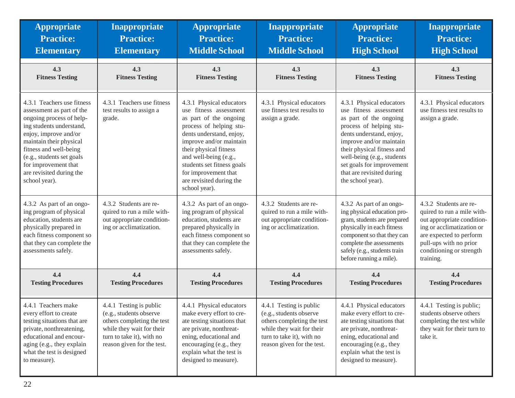| <b>Appropriate</b>                                                                                                                                                                                                                                                                              | <b>Inappropriate</b>                                                                                                                                                     | <b>Appropriate</b>                                                                                                                                                                                                                                                                                                   | Inappropriate                                                                                                                                                            | <b>Appropriate</b>                                                                                                                                                                                                                                                                                           | Inappropriate                                                                                                                                                                                                 |
|-------------------------------------------------------------------------------------------------------------------------------------------------------------------------------------------------------------------------------------------------------------------------------------------------|--------------------------------------------------------------------------------------------------------------------------------------------------------------------------|----------------------------------------------------------------------------------------------------------------------------------------------------------------------------------------------------------------------------------------------------------------------------------------------------------------------|--------------------------------------------------------------------------------------------------------------------------------------------------------------------------|--------------------------------------------------------------------------------------------------------------------------------------------------------------------------------------------------------------------------------------------------------------------------------------------------------------|---------------------------------------------------------------------------------------------------------------------------------------------------------------------------------------------------------------|
| <b>Practice:</b>                                                                                                                                                                                                                                                                                | <b>Practice:</b>                                                                                                                                                         | <b>Practice:</b>                                                                                                                                                                                                                                                                                                     | <b>Practice:</b>                                                                                                                                                         | <b>Practice:</b>                                                                                                                                                                                                                                                                                             | <b>Practice:</b>                                                                                                                                                                                              |
| <b>Elementary</b>                                                                                                                                                                                                                                                                               | <b>Elementary</b>                                                                                                                                                        | <b>Middle School</b>                                                                                                                                                                                                                                                                                                 | <b>Middle School</b>                                                                                                                                                     | <b>High School</b>                                                                                                                                                                                                                                                                                           | <b>High School</b>                                                                                                                                                                                            |
| 4.3                                                                                                                                                                                                                                                                                             | 4.3                                                                                                                                                                      | 4.3                                                                                                                                                                                                                                                                                                                  | 4.3                                                                                                                                                                      | 4.3                                                                                                                                                                                                                                                                                                          | 4.3                                                                                                                                                                                                           |
| <b>Fitness Testing</b>                                                                                                                                                                                                                                                                          | <b>Fitness Testing</b>                                                                                                                                                   | <b>Fitness Testing</b>                                                                                                                                                                                                                                                                                               | <b>Fitness Testing</b>                                                                                                                                                   | <b>Fitness Testing</b>                                                                                                                                                                                                                                                                                       | <b>Fitness Testing</b>                                                                                                                                                                                        |
| 4.3.1 Teachers use fitness<br>assessment as part of the<br>ongoing process of help-<br>ing students understand,<br>enjoy, improve and/or<br>maintain their physical<br>fitness and well-being<br>(e.g., students set goals<br>for improvement that<br>are revisited during the<br>school year). | 4.3.1 Teachers use fitness<br>test results to assign a<br>grade.                                                                                                         | 4.3.1 Physical educators<br>use fitness assessment<br>as part of the ongoing<br>process of helping stu-<br>dents understand, enjoy,<br>improve and/or maintain<br>their physical fitness<br>and well-being (e.g.,<br>students set fitness goals<br>for improvement that<br>are revisited during the<br>school year). | 4.3.1 Physical educators<br>use fitness test results to<br>assign a grade.                                                                                               | 4.3.1 Physical educators<br>fitness assessment<br>use<br>as part of the ongoing<br>process of helping stu-<br>dents understand, enjoy,<br>improve and/or maintain<br>their physical fitness and<br>well-being (e.g., students<br>set goals for improvement<br>that are revisited during<br>the school year). | 4.3.1 Physical educators<br>use fitness test results to<br>assign a grade.                                                                                                                                    |
| 4.3.2 As part of an ongo-<br>ing program of physical<br>education, students are<br>physically prepared in<br>each fitness component so<br>that they can complete the<br>assessments safely.                                                                                                     | 4.3.2 Students are re-<br>quired to run a mile with-<br>out appropriate condition-<br>ing or acclimatization.                                                            | 4.3.2 As part of an ongo-<br>ing program of physical<br>education, students are<br>prepared physically in<br>each fitness component so<br>that they can complete the<br>assessments safely.                                                                                                                          | 4.3.2 Students are re-<br>quired to run a mile with-<br>out appropriate condition-<br>ing or acclimatization.                                                            | 4.3.2 As part of an ongo-<br>ing physical education pro-<br>gram, students are prepared<br>physically in each fitness<br>component so that they can<br>complete the assessments<br>safely (e.g., students train<br>before running a mile).                                                                   | 4.3.2 Students are re-<br>quired to run a mile with-<br>out appropriate condition-<br>ing or acclimatization or<br>are expected to perform<br>pull-ups with no prior<br>conditioning or strength<br>training. |
| 4.4                                                                                                                                                                                                                                                                                             | 4.4                                                                                                                                                                      | 4.4                                                                                                                                                                                                                                                                                                                  | 4.4                                                                                                                                                                      | 4.4                                                                                                                                                                                                                                                                                                          | 4.4                                                                                                                                                                                                           |
| <b>Testing Procedures</b>                                                                                                                                                                                                                                                                       | <b>Testing Procedures</b>                                                                                                                                                | <b>Testing Procedures</b>                                                                                                                                                                                                                                                                                            | <b>Testing Procedures</b>                                                                                                                                                | <b>Testing Procedures</b>                                                                                                                                                                                                                                                                                    | <b>Testing Procedures</b>                                                                                                                                                                                     |
| 4.4.1 Teachers make<br>every effort to create<br>testing situations that are<br>private, nonthreatening,<br>educational and encour-<br>aging (e.g., they explain<br>what the test is designed<br>to measure).                                                                                   | 4.4.1 Testing is public<br>(e.g., students observe<br>others completing the test<br>while they wait for their<br>turn to take it), with no<br>reason given for the test. | 4.4.1 Physical educators<br>make every effort to cre-<br>ate testing situations that<br>are private, nonthreat-<br>ening, educational and<br>encouraging (e.g., they<br>explain what the test is<br>designed to measure).                                                                                            | 4.4.1 Testing is public<br>(e.g., students observe<br>others completing the test<br>while they wait for their<br>turn to take it), with no<br>reason given for the test. | 4.4.1 Physical educators<br>make every effort to cre-<br>ate testing situations that<br>are private, nonthreat-<br>ening, educational and<br>encouraging (e.g., they<br>explain what the test is<br>designed to measure).                                                                                    | 4.4.1 Testing is public;<br>students observe others<br>completing the test while<br>they wait for their turn to<br>take it.                                                                                   |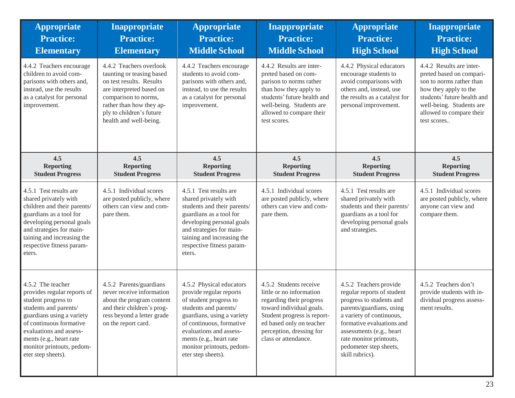| <b>Appropriate</b><br><b>Practice:</b><br><b>Elementary</b>                                                                                                                                                                                                       | <b>Inappropriate</b><br><b>Practice:</b><br><b>Elementary</b>                                                                                                                                                          | <b>Appropriate</b><br><b>Practice:</b><br><b>Middle School</b>                                                                                                                                                                                                            | <b>Inappropriate</b><br><b>Practice:</b><br><b>Middle School</b>                                                                                                                                                          | <b>Appropriate</b><br><b>Practice:</b><br><b>High School</b>                                                                                                                                                                                                              | Inappropriate<br><b>Practice:</b><br><b>High School</b>                                                                                                                                                         |
|-------------------------------------------------------------------------------------------------------------------------------------------------------------------------------------------------------------------------------------------------------------------|------------------------------------------------------------------------------------------------------------------------------------------------------------------------------------------------------------------------|---------------------------------------------------------------------------------------------------------------------------------------------------------------------------------------------------------------------------------------------------------------------------|---------------------------------------------------------------------------------------------------------------------------------------------------------------------------------------------------------------------------|---------------------------------------------------------------------------------------------------------------------------------------------------------------------------------------------------------------------------------------------------------------------------|-----------------------------------------------------------------------------------------------------------------------------------------------------------------------------------------------------------------|
| 4.4.2 Teachers encourage<br>children to avoid com-<br>parisons with others and,<br>instead, use the results<br>as a catalyst for personal<br>improvement.                                                                                                         | 4.4.2 Teachers overlook<br>taunting or teasing based<br>on test results. Results<br>are interpreted based on<br>comparison to norms,<br>rather than how they ap-<br>ply to children's future<br>health and well-being. | 4.4.2 Teachers encourage<br>students to avoid com-<br>parisons with others and,<br>instead, to use the results<br>as a catalyst for personal<br>improvement.                                                                                                              | 4.4.2 Results are inter-<br>preted based on com-<br>parison to norms rather<br>than how they apply to<br>students' future health and<br>well-being. Students are<br>allowed to compare their<br>test scores.              | 4.4.2 Physical educators<br>encourage students to<br>avoid comparisons with<br>others and, instead, use<br>the results as a catalyst for<br>personal improvement.                                                                                                         | 4.4.2 Results are inter-<br>preted based on compari-<br>son to norms rather than<br>how they apply to the<br>students' future health and<br>well-being. Students are<br>allowed to compare their<br>test scores |
| 4.5<br><b>Reporting</b><br><b>Student Progress</b>                                                                                                                                                                                                                | 4.5<br><b>Reporting</b><br><b>Student Progress</b>                                                                                                                                                                     | 4.5<br><b>Reporting</b><br><b>Student Progress</b>                                                                                                                                                                                                                        | 4.5<br><b>Reporting</b><br><b>Student Progress</b>                                                                                                                                                                        | 4.5<br><b>Reporting</b><br><b>Student Progress</b>                                                                                                                                                                                                                        | 4.5<br><b>Reporting</b><br><b>Student Progress</b>                                                                                                                                                              |
| 4.5.1 Test results are<br>shared privately with<br>children and their parents/<br>guardians as a tool for<br>developing personal goals<br>and strategies for main-<br>taining and increasing the<br>respective fitness param-<br>eters.                           | 4.5.1 Individual scores<br>are posted publicly, where<br>others can view and com-<br>pare them.                                                                                                                        | 4.5.1 Test results are<br>shared privately with<br>students and their parents/<br>guardians as a tool for<br>developing personal goals<br>and strategies for main-<br>taining and increasing the<br>respective fitness param-<br>eters.                                   | 4.5.1 Individual scores<br>are posted publicly, where<br>others can view and com-<br>pare them.                                                                                                                           | 4.5.1 Test results are<br>shared privately with<br>students and their parents/<br>guardians as a tool for<br>developing personal goals<br>and strategies.                                                                                                                 | 4.5.1 Individual scores<br>are posted publicly, where<br>anyone can view and<br>compare them.                                                                                                                   |
| 4.5.2 The teacher<br>provides regular reports of<br>student progress to<br>students and parents/<br>guardians using a variety<br>of continuous formative<br>evaluations and assess-<br>ments (e.g., heart rate<br>monitor printouts, pedom-<br>eter step sheets). | 4.5.2 Parents/guardians<br>never receive information<br>about the program content<br>and their children's prog-<br>ress beyond a letter grade<br>on the report card.                                                   | 4.5.2 Physical educators<br>provide regular reports<br>of student progress to<br>students and parents/<br>guardians, using a variety<br>of continuous, formative<br>evaluations and assess-<br>ments (e.g., heart rate<br>monitor printouts, pedom-<br>eter step sheets). | 4.5.2 Students receive<br>little or no information<br>regarding their progress<br>toward individual goals.<br>Student progress is report-<br>ed based only on teacher<br>perception, dressing for<br>class or attendance. | 4.5.2 Teachers provide<br>regular reports of student<br>progress to students and<br>parents/guardians, using<br>a variety of continuous,<br>formative evaluations and<br>assessments (e.g., heart<br>rate monitor printouts,<br>pedometer step sheets,<br>skill rubrics). | 4.5.2 Teachers don't<br>provide students with in-<br>dividual progress assess-<br>ment results.                                                                                                                 |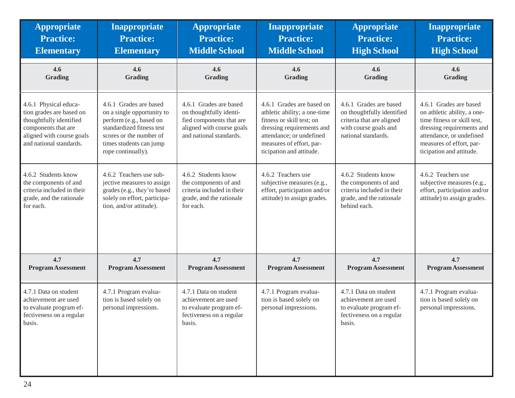| <b>Appropriate</b>                                                                                                                                          | Inappropriate                                                                                                                                                                            | <b>Appropriate</b>                                                                                                                    | Inappropriate                                                                                                                                                                                           | <b>Appropriate</b>                                                                                                                | <b>Inappropriate</b>                                                                                                                                                                                  |
|-------------------------------------------------------------------------------------------------------------------------------------------------------------|------------------------------------------------------------------------------------------------------------------------------------------------------------------------------------------|---------------------------------------------------------------------------------------------------------------------------------------|---------------------------------------------------------------------------------------------------------------------------------------------------------------------------------------------------------|-----------------------------------------------------------------------------------------------------------------------------------|-------------------------------------------------------------------------------------------------------------------------------------------------------------------------------------------------------|
| <b>Practice:</b>                                                                                                                                            | <b>Practice:</b>                                                                                                                                                                         | <b>Practice:</b>                                                                                                                      | <b>Practice:</b>                                                                                                                                                                                        | <b>Practice:</b>                                                                                                                  | <b>Practice:</b>                                                                                                                                                                                      |
| <b>Elementary</b>                                                                                                                                           | <b>Elementary</b>                                                                                                                                                                        | <b>Middle School</b>                                                                                                                  | <b>Middle School</b>                                                                                                                                                                                    | <b>High School</b>                                                                                                                | <b>High School</b>                                                                                                                                                                                    |
| 4.6                                                                                                                                                         | 4.6                                                                                                                                                                                      | 4.6                                                                                                                                   | 4.6                                                                                                                                                                                                     | 4.6                                                                                                                               | 4.6                                                                                                                                                                                                   |
| Grading                                                                                                                                                     | Grading                                                                                                                                                                                  | Grading                                                                                                                               | Grading                                                                                                                                                                                                 | Grading                                                                                                                           | <b>Grading</b>                                                                                                                                                                                        |
| 4.6.1 Physical educa-<br>tion grades are based on<br>thoughtfully identified<br>components that are<br>aligned with course goals<br>and national standards. | 4.6.1 Grades are based<br>on a single opportunity to<br>perform (e.g., based on<br>standardized fitness test<br>scores or the number of<br>times students can jump<br>rope continually). | 4.6.1 Grades are based<br>on thoughtfully identi-<br>fied components that are<br>aligned with course goals<br>and national standards. | 4.6.1 Grades are based on<br>athletic ability; a one-time<br>fitness or skill test; on<br>dressing requirements and<br>attendance; or undefined<br>measures of effort, par-<br>ticipation and attitude. | 4.6.1 Grades are based<br>on thoughtfully identified<br>criteria that are aligned<br>with course goals and<br>national standards. | 4.6.1 Grades are based<br>on athletic ability, a one-<br>time fitness or skill test,<br>dressing requirements and<br>attendance, or undefined<br>measures of effort, par-<br>ticipation and attitude. |
| 4.6.2 Students know<br>the components of and<br>criteria included in their<br>grade, and the rationale<br>for each.                                         | 4.6.2 Teachers use sub-<br>jective measures to assign<br>grades (e.g., they're based<br>solely on effort, participa-<br>tion, and/or attitude).                                          | 4.6.2 Students know<br>the components of and<br>criteria included in their<br>grade, and the rationale<br>for each.                   | 4.6.2 Teachers use<br>subjective measures (e.g.,<br>effort, participation and/or<br>attitude) to assign grades.                                                                                         | 4.6.2 Students know<br>the components of and<br>criteria included in their<br>grade, and the rationale<br>behind each.            | 4.6.2 Teachers use<br>subjective measures (e.g.,<br>effort, participation and/or<br>attitude) to assign grades.                                                                                       |
| 4.7                                                                                                                                                         | 4.7                                                                                                                                                                                      | 4.7                                                                                                                                   | 4.7                                                                                                                                                                                                     | 4.7                                                                                                                               | 4.7                                                                                                                                                                                                   |
| <b>Program Assessment</b>                                                                                                                                   | <b>Program Assessment</b>                                                                                                                                                                | <b>Program Assessment</b>                                                                                                             | <b>Program Assessment</b>                                                                                                                                                                               | <b>Program Assessment</b>                                                                                                         | <b>Program Assessment</b>                                                                                                                                                                             |
| 4.7.1 Data on student<br>achievement are used<br>to evaluate program ef-<br>fectiveness on a regular<br>basis.                                              | 4.7.1 Program evalua-<br>tion is based solely on<br>personal impressions.                                                                                                                | 4.7.1 Data on student<br>achievement are used<br>to evaluate program ef-<br>fectiveness on a regular<br>basis.                        | 4.7.1 Program evalua-<br>tion is based solely on<br>personal impressions.                                                                                                                               | 4.7.1 Data on student<br>achievement are used<br>to evaluate program ef-<br>fectiveness on a regular<br>basis.                    | 4.7.1 Program evalua-<br>tion is based solely on<br>personal impressions.                                                                                                                             |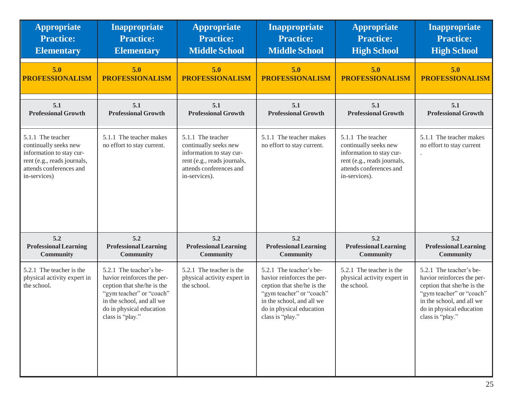| <b>Appropriate</b>                                                                                                                               | Inappropriate                                                                                                                                                                                | <b>Appropriate</b>                                                                                                                                | <b>Inappropriate</b>                                                                                                                                                                         | <b>Appropriate</b>                                                                                                                                | Inappropriate                                                                                                                                                                                |
|--------------------------------------------------------------------------------------------------------------------------------------------------|----------------------------------------------------------------------------------------------------------------------------------------------------------------------------------------------|---------------------------------------------------------------------------------------------------------------------------------------------------|----------------------------------------------------------------------------------------------------------------------------------------------------------------------------------------------|---------------------------------------------------------------------------------------------------------------------------------------------------|----------------------------------------------------------------------------------------------------------------------------------------------------------------------------------------------|
| <b>Practice:</b>                                                                                                                                 | <b>Practice:</b>                                                                                                                                                                             | <b>Practice:</b>                                                                                                                                  | <b>Practice:</b>                                                                                                                                                                             | <b>Practice:</b>                                                                                                                                  | <b>Practice:</b>                                                                                                                                                                             |
| <b>Elementary</b>                                                                                                                                | <b>Elementary</b>                                                                                                                                                                            | <b>Middle School</b>                                                                                                                              | <b>Middle School</b>                                                                                                                                                                         | <b>High School</b>                                                                                                                                | <b>High School</b>                                                                                                                                                                           |
| 5.0                                                                                                                                              | 5.0                                                                                                                                                                                          | 5.0                                                                                                                                               | 5.0                                                                                                                                                                                          | 5.0                                                                                                                                               | 5.0                                                                                                                                                                                          |
| <b>PROFESSIONALISM</b>                                                                                                                           | <b>PROFESSIONALISM</b>                                                                                                                                                                       | <b>PROFESSIONALISM</b>                                                                                                                            | <b>PROFESSIONALISM</b>                                                                                                                                                                       | <b>PROFESSIONALISM</b>                                                                                                                            | <b>PROFESSIONALISM</b>                                                                                                                                                                       |
| 5.1                                                                                                                                              | 5.1                                                                                                                                                                                          | 5.1                                                                                                                                               | 5.1                                                                                                                                                                                          | 5.1                                                                                                                                               | 5.1                                                                                                                                                                                          |
| <b>Professional Growth</b>                                                                                                                       | <b>Professional Growth</b>                                                                                                                                                                   | <b>Professional Growth</b>                                                                                                                        | <b>Professional Growth</b>                                                                                                                                                                   | <b>Professional Growth</b>                                                                                                                        | <b>Professional Growth</b>                                                                                                                                                                   |
| 5.1.1 The teacher<br>continually seeks new<br>information to stay cur-<br>rent (e.g., reads journals,<br>attends conferences and<br>in-services) | 5.1.1 The teacher makes<br>no effort to stay current.                                                                                                                                        | 5.1.1 The teacher<br>continually seeks new<br>information to stay cur-<br>rent (e.g., reads journals,<br>attends conferences and<br>in-services). | 5.1.1 The teacher makes<br>no effort to stay current.                                                                                                                                        | 5.1.1 The teacher<br>continually seeks new<br>information to stay cur-<br>rent (e.g., reads journals,<br>attends conferences and<br>in-services). | 5.1.1 The teacher makes<br>no effort to stay current                                                                                                                                         |
| 5.2                                                                                                                                              | 5.2                                                                                                                                                                                          | 5.2                                                                                                                                               | 5.2                                                                                                                                                                                          | 5.2                                                                                                                                               | 5.2                                                                                                                                                                                          |
| <b>Professional Learning</b>                                                                                                                     | <b>Professional Learning</b>                                                                                                                                                                 | <b>Professional Learning</b>                                                                                                                      | <b>Professional Learning</b>                                                                                                                                                                 | <b>Professional Learning</b>                                                                                                                      | <b>Professional Learning</b>                                                                                                                                                                 |
| Community                                                                                                                                        | Community                                                                                                                                                                                    | <b>Community</b>                                                                                                                                  | <b>Community</b>                                                                                                                                                                             | Community                                                                                                                                         | <b>Community</b>                                                                                                                                                                             |
| 5.2.1 The teacher is the<br>physical activity expert in<br>the school.                                                                           | 5.2.1 The teacher's be-<br>havior reinforces the per-<br>ception that she/he is the<br>"gym teacher" or "coach"<br>in the school, and all we<br>do in physical education<br>class is "play." | 5.2.1 The teacher is the<br>physical activity expert in<br>the school.                                                                            | 5.2.1 The teacher's be-<br>havior reinforces the per-<br>ception that she/he is the<br>"gym teacher" or "coach"<br>in the school, and all we<br>do in physical education<br>class is "play." | 5.2.1 The teacher is the<br>physical activity expert in<br>the school.                                                                            | 5.2.1 The teacher's be-<br>havior reinforces the per-<br>ception that she/he is the<br>"gym teacher" or "coach"<br>in the school, and all we<br>do in physical education<br>class is "play." |